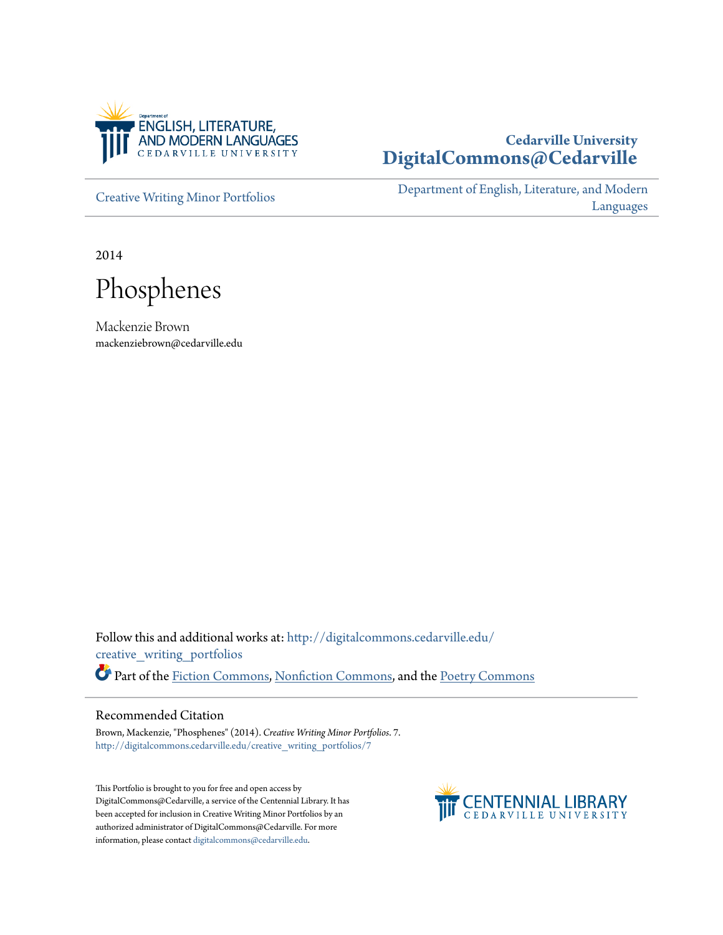

# **Cedarville University [DigitalCommons@Cedarville](http://digitalcommons.cedarville.edu?utm_source=digitalcommons.cedarville.edu%2Fcreative_writing_portfolios%2F7&utm_medium=PDF&utm_campaign=PDFCoverPages)**

[Creative Writing Minor Portfolios](http://digitalcommons.cedarville.edu/creative_writing_portfolios?utm_source=digitalcommons.cedarville.edu%2Fcreative_writing_portfolios%2F7&utm_medium=PDF&utm_campaign=PDFCoverPages)

[Department of English, Literature, and Modern](http://digitalcommons.cedarville.edu/english_literature_modern_languages?utm_source=digitalcommons.cedarville.edu%2Fcreative_writing_portfolios%2F7&utm_medium=PDF&utm_campaign=PDFCoverPages) [Languages](http://digitalcommons.cedarville.edu/english_literature_modern_languages?utm_source=digitalcommons.cedarville.edu%2Fcreative_writing_portfolios%2F7&utm_medium=PDF&utm_campaign=PDFCoverPages)

2014

Phosphenes

Mackenzie Brown mackenziebrown@cedarville.edu

Follow this and additional works at: [http://digitalcommons.cedarville.edu/](http://digitalcommons.cedarville.edu/creative_writing_portfolios?utm_source=digitalcommons.cedarville.edu%2Fcreative_writing_portfolios%2F7&utm_medium=PDF&utm_campaign=PDFCoverPages) [creative\\_writing\\_portfolios](http://digitalcommons.cedarville.edu/creative_writing_portfolios?utm_source=digitalcommons.cedarville.edu%2Fcreative_writing_portfolios%2F7&utm_medium=PDF&utm_campaign=PDFCoverPages) Part of the [Fiction Commons](http://network.bepress.com/hgg/discipline/1151?utm_source=digitalcommons.cedarville.edu%2Fcreative_writing_portfolios%2F7&utm_medium=PDF&utm_campaign=PDFCoverPages), [Nonfiction Commons](http://network.bepress.com/hgg/discipline/1152?utm_source=digitalcommons.cedarville.edu%2Fcreative_writing_portfolios%2F7&utm_medium=PDF&utm_campaign=PDFCoverPages), and the [Poetry Commons](http://network.bepress.com/hgg/discipline/1153?utm_source=digitalcommons.cedarville.edu%2Fcreative_writing_portfolios%2F7&utm_medium=PDF&utm_campaign=PDFCoverPages)

#### Recommended Citation

Brown, Mackenzie, "Phosphenes" (2014). *Creative Writing Minor Portfolios*. 7. [http://digitalcommons.cedarville.edu/creative\\_writing\\_portfolios/7](http://digitalcommons.cedarville.edu/creative_writing_portfolios/7?utm_source=digitalcommons.cedarville.edu%2Fcreative_writing_portfolios%2F7&utm_medium=PDF&utm_campaign=PDFCoverPages)

This Portfolio is brought to you for free and open access by DigitalCommons@Cedarville, a service of the Centennial Library. It has been accepted for inclusion in Creative Writing Minor Portfolios by an authorized administrator of DigitalCommons@Cedarville. For more information, please contact [digitalcommons@cedarville.edu.](mailto:digitalcommons@cedarville.edu)

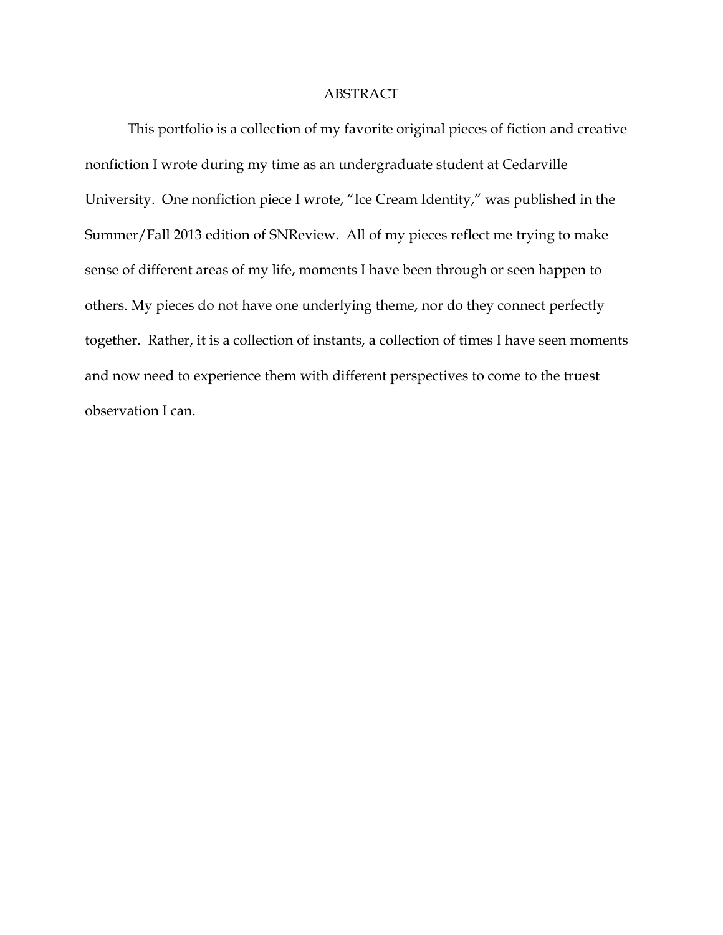# ABSTRACT

This portfolio is a collection of my favorite original pieces of fiction and creative nonfiction I wrote during my time as an undergraduate student at Cedarville University. One nonfiction piece I wrote, "Ice Cream Identity," was published in the Summer/Fall 2013 edition of SNReview. All of my pieces reflect me trying to make sense of different areas of my life, moments I have been through or seen happen to others. My pieces do not have one underlying theme, nor do they connect perfectly together. Rather, it is a collection of instants, a collection of times I have seen moments and now need to experience them with different perspectives to come to the truest observation I can.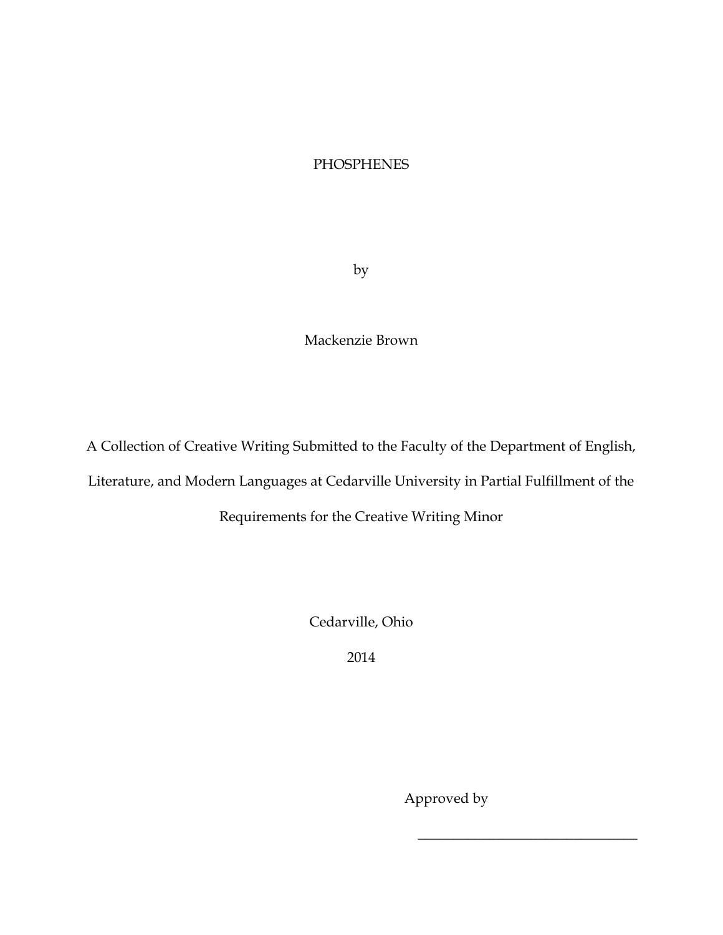# **PHOSPHENES**

by

Mackenzie Brown

A Collection of Creative Writing Submitted to the Faculty of the Department of English,

Literature, and Modern Languages at Cedarville University in Partial Fulfillment of the

Requirements for the Creative Writing Minor

Cedarville, Ohio

2014

Approved by

 $\overline{\phantom{a}}$  , where  $\overline{\phantom{a}}$  , where  $\overline{\phantom{a}}$  , where  $\overline{\phantom{a}}$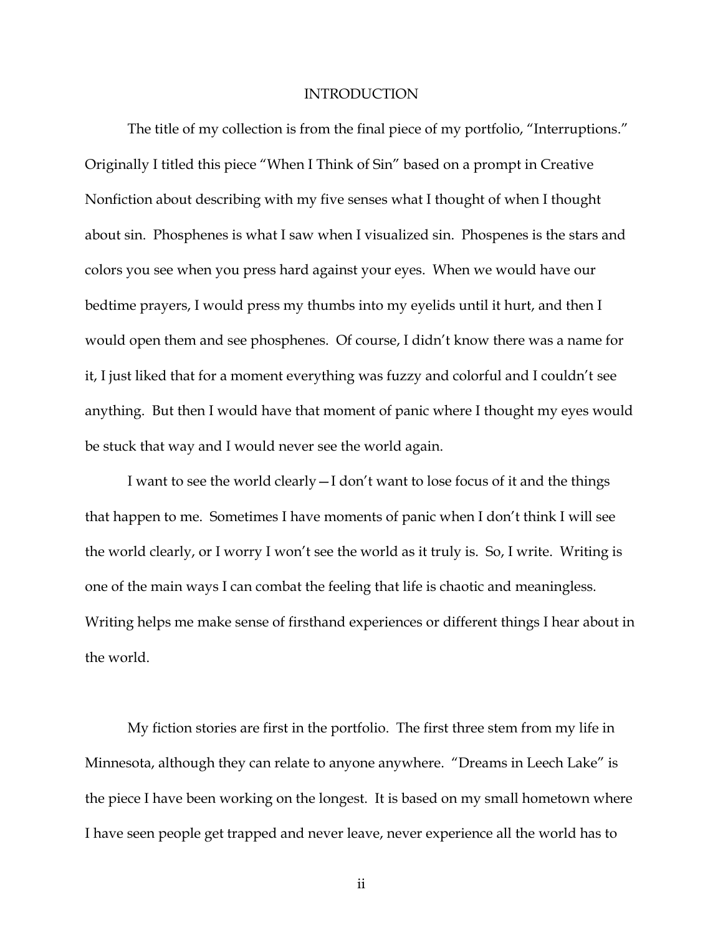#### INTRODUCTION

The title of my collection is from the final piece of my portfolio, "Interruptions." Originally I titled this piece "When I Think of Sin" based on a prompt in Creative Nonfiction about describing with my five senses what I thought of when I thought about sin. Phosphenes is what I saw when I visualized sin. Phospenes is the stars and colors you see when you press hard against your eyes. When we would have our bedtime prayers, I would press my thumbs into my eyelids until it hurt, and then I would open them and see phosphenes. Of course, I didn't know there was a name for it, I just liked that for a moment everything was fuzzy and colorful and I couldn't see anything. But then I would have that moment of panic where I thought my eyes would be stuck that way and I would never see the world again.

I want to see the world clearly—I don't want to lose focus of it and the things that happen to me. Sometimes I have moments of panic when I don't think I will see the world clearly, or I worry I won't see the world as it truly is. So, I write. Writing is one of the main ways I can combat the feeling that life is chaotic and meaningless. Writing helps me make sense of firsthand experiences or different things I hear about in the world.

My fiction stories are first in the portfolio. The first three stem from my life in Minnesota, although they can relate to anyone anywhere. "Dreams in Leech Lake" is the piece I have been working on the longest. It is based on my small hometown where I have seen people get trapped and never leave, never experience all the world has to

ii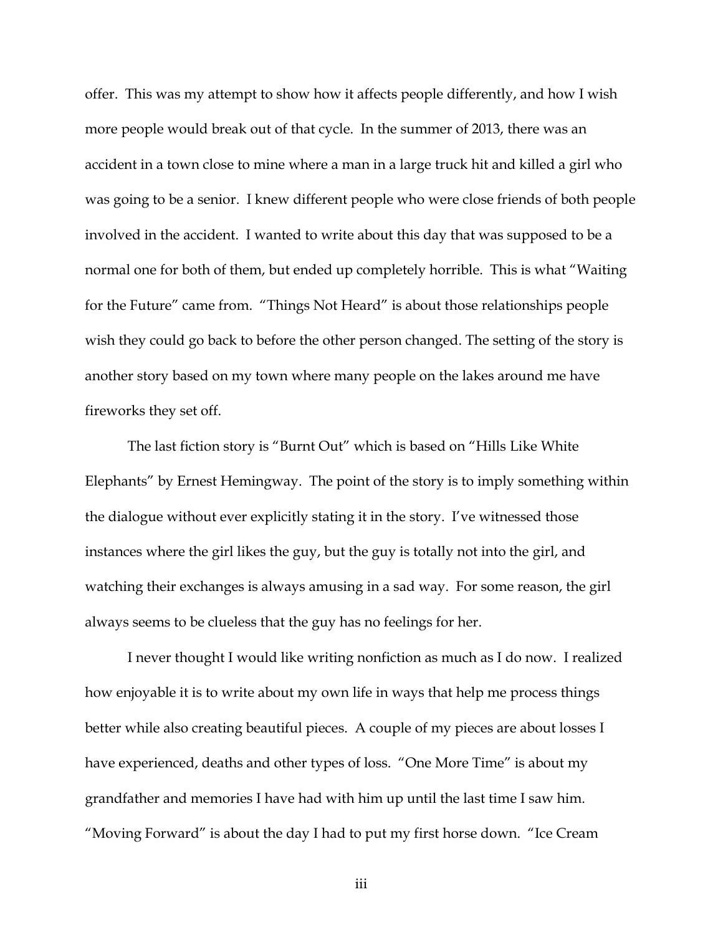offer. This was my attempt to show how it affects people differently, and how I wish more people would break out of that cycle. In the summer of 2013, there was an accident in a town close to mine where a man in a large truck hit and killed a girl who was going to be a senior. I knew different people who were close friends of both people involved in the accident. I wanted to write about this day that was supposed to be a normal one for both of them, but ended up completely horrible. This is what "Waiting for the Future" came from. "Things Not Heard" is about those relationships people wish they could go back to before the other person changed. The setting of the story is another story based on my town where many people on the lakes around me have fireworks they set off.

The last fiction story is "Burnt Out" which is based on "Hills Like White Elephants" by Ernest Hemingway. The point of the story is to imply something within the dialogue without ever explicitly stating it in the story. I've witnessed those instances where the girl likes the guy, but the guy is totally not into the girl, and watching their exchanges is always amusing in a sad way. For some reason, the girl always seems to be clueless that the guy has no feelings for her.

I never thought I would like writing nonfiction as much as I do now. I realized how enjoyable it is to write about my own life in ways that help me process things better while also creating beautiful pieces. A couple of my pieces are about losses I have experienced, deaths and other types of loss. "One More Time" is about my grandfather and memories I have had with him up until the last time I saw him. "Moving Forward" is about the day I had to put my first horse down. "Ice Cream

iii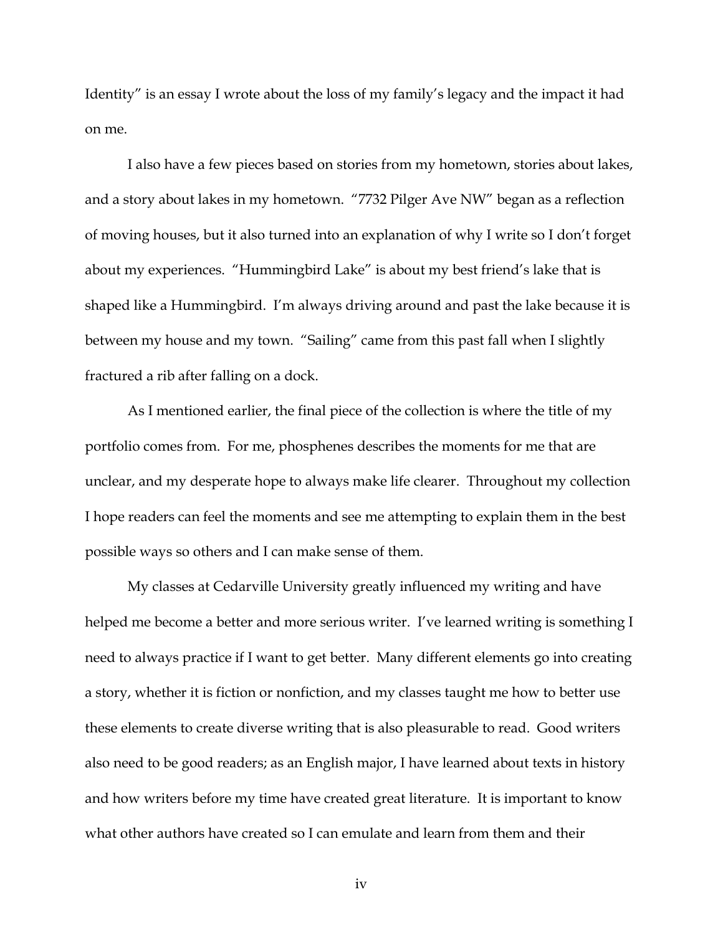Identity" is an essay I wrote about the loss of my family's legacy and the impact it had on me.

I also have a few pieces based on stories from my hometown, stories about lakes, and a story about lakes in my hometown. "7732 Pilger Ave NW" began as a reflection of moving houses, but it also turned into an explanation of why I write so I don't forget about my experiences. "Hummingbird Lake" is about my best friend's lake that is shaped like a Hummingbird. I'm always driving around and past the lake because it is between my house and my town. "Sailing" came from this past fall when I slightly fractured a rib after falling on a dock.

As I mentioned earlier, the final piece of the collection is where the title of my portfolio comes from. For me, phosphenes describes the moments for me that are unclear, and my desperate hope to always make life clearer. Throughout my collection I hope readers can feel the moments and see me attempting to explain them in the best possible ways so others and I can make sense of them.

My classes at Cedarville University greatly influenced my writing and have helped me become a better and more serious writer. I've learned writing is something I need to always practice if I want to get better. Many different elements go into creating a story, whether it is fiction or nonfiction, and my classes taught me how to better use these elements to create diverse writing that is also pleasurable to read. Good writers also need to be good readers; as an English major, I have learned about texts in history and how writers before my time have created great literature. It is important to know what other authors have created so I can emulate and learn from them and their

iv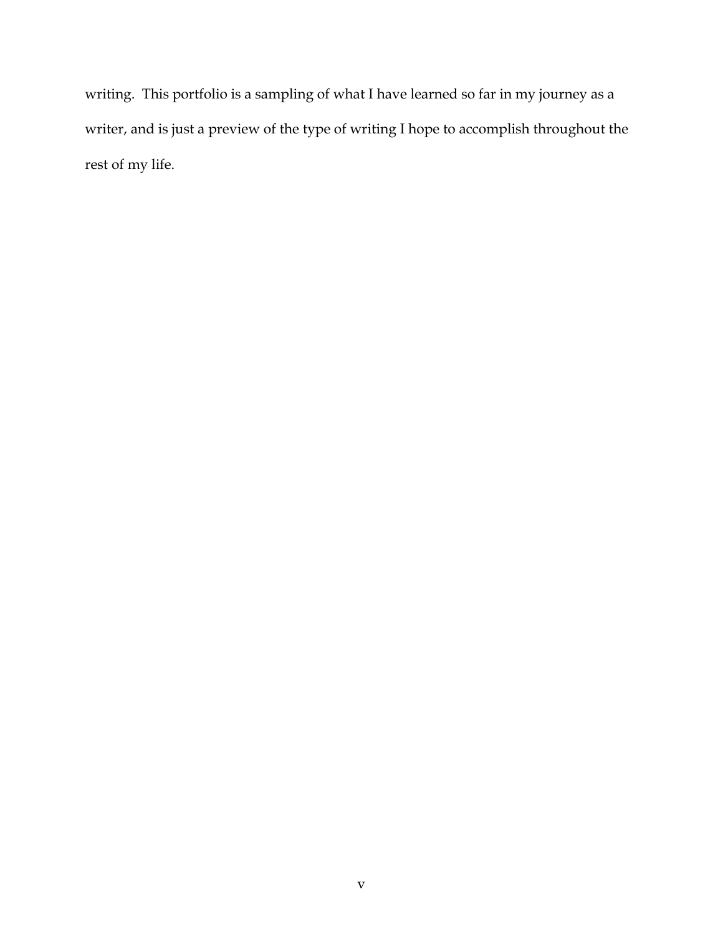writing. This portfolio is a sampling of what I have learned so far in my journey as a writer, and is just a preview of the type of writing I hope to accomplish throughout the rest of my life.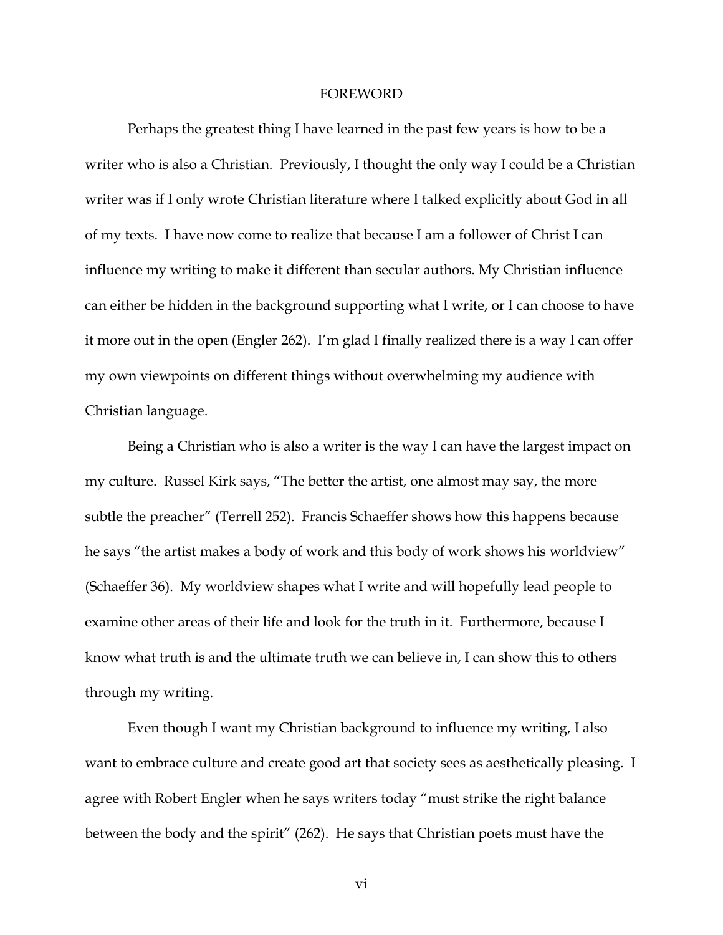#### **FOREWORD**

Perhaps the greatest thing I have learned in the past few years is how to be a writer who is also a Christian. Previously, I thought the only way I could be a Christian writer was if I only wrote Christian literature where I talked explicitly about God in all of my texts. I have now come to realize that because I am a follower of Christ I can influence my writing to make it different than secular authors. My Christian influence can either be hidden in the background supporting what I write, or I can choose to have it more out in the open (Engler 262). I'm glad I finally realized there is a way I can offer my own viewpoints on different things without overwhelming my audience with Christian language.

Being a Christian who is also a writer is the way I can have the largest impact on my culture. Russel Kirk says, "The better the artist, one almost may say, the more subtle the preacher" (Terrell 252). Francis Schaeffer shows how this happens because he says "the artist makes a body of work and this body of work shows his worldview" (Schaeffer 36). My worldview shapes what I write and will hopefully lead people to examine other areas of their life and look for the truth in it. Furthermore, because I know what truth is and the ultimate truth we can believe in, I can show this to others through my writing.

Even though I want my Christian background to influence my writing, I also want to embrace culture and create good art that society sees as aesthetically pleasing. I agree with Robert Engler when he says writers today "must strike the right balance between the body and the spirit" (262). He says that Christian poets must have the

vi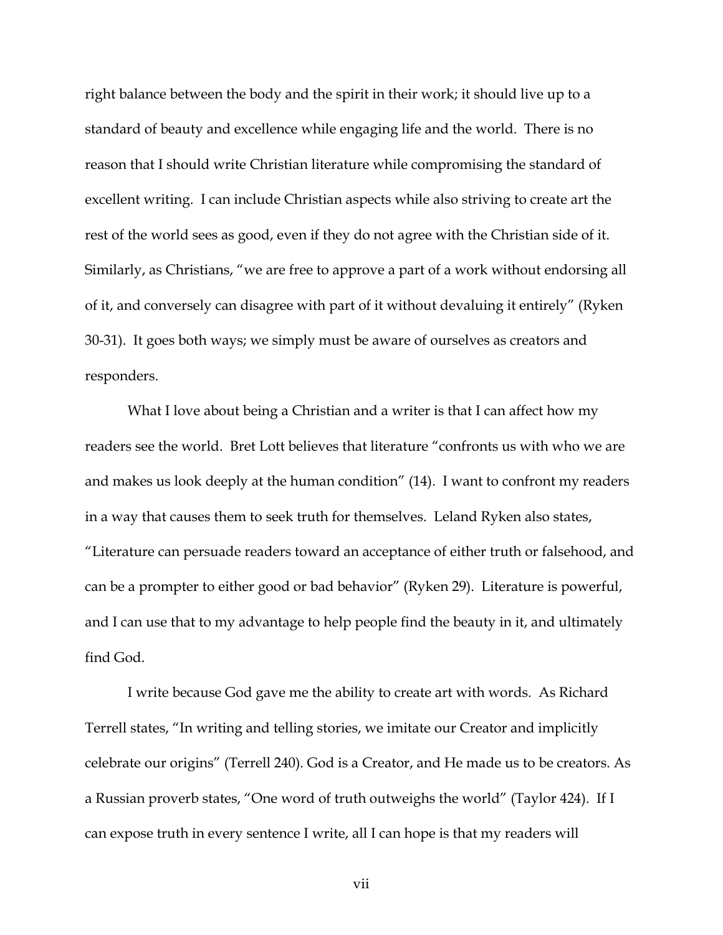right balance between the body and the spirit in their work; it should live up to a standard of beauty and excellence while engaging life and the world. There is no reason that I should write Christian literature while compromising the standard of excellent writing. I can include Christian aspects while also striving to create art the rest of the world sees as good, even if they do not agree with the Christian side of it. Similarly, as Christians, "we are free to approve a part of a work without endorsing all of it, and conversely can disagree with part of it without devaluing it entirely" (Ryken 30-31). It goes both ways; we simply must be aware of ourselves as creators and responders.

What I love about being a Christian and a writer is that I can affect how my readers see the world. Bret Lott believes that literature "confronts us with who we are and makes us look deeply at the human condition" (14). I want to confront my readers in a way that causes them to seek truth for themselves. Leland Ryken also states, "Literature can persuade readers toward an acceptance of either truth or falsehood, and can be a prompter to either good or bad behavior" (Ryken 29). Literature is powerful, and I can use that to my advantage to help people find the beauty in it, and ultimately find God.

I write because God gave me the ability to create art with words. As Richard Terrell states, "In writing and telling stories, we imitate our Creator and implicitly celebrate our origins" (Terrell 240). God is a Creator, and He made us to be creators. As a Russian proverb states, "One word of truth outweighs the world" (Taylor 424). If I can expose truth in every sentence I write, all I can hope is that my readers will

vii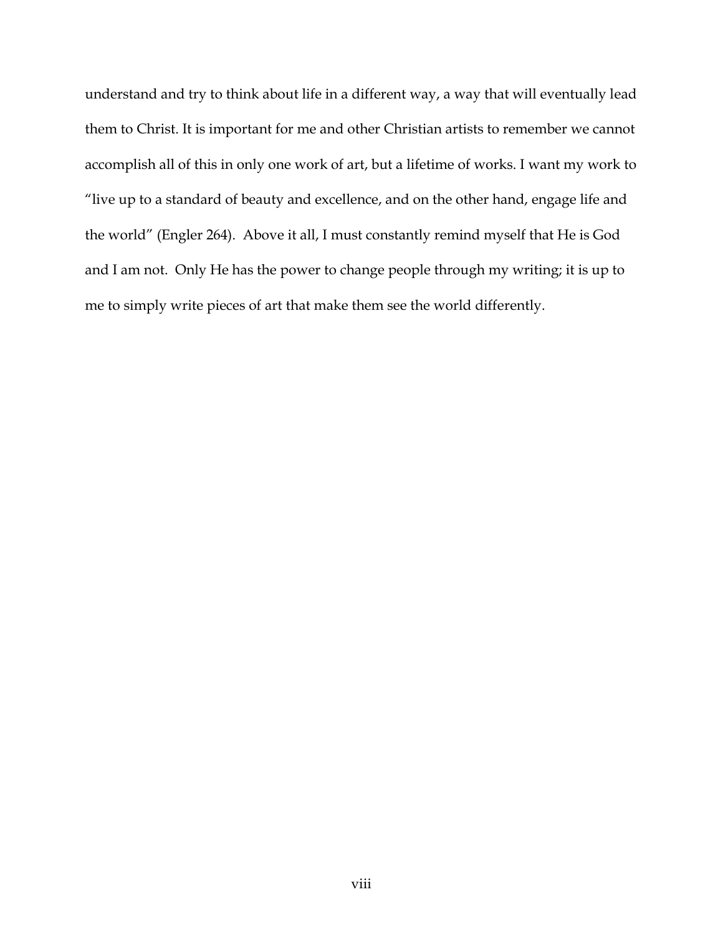understand and try to think about life in a different way, a way that will eventually lead them to Christ. It is important for me and other Christian artists to remember we cannot accomplish all of this in only one work of art, but a lifetime of works. I want my work to "live up to a standard of beauty and excellence, and on the other hand, engage life and the world" (Engler 264). Above it all, I must constantly remind myself that He is God and I am not. Only He has the power to change people through my writing; it is up to me to simply write pieces of art that make them see the world differently.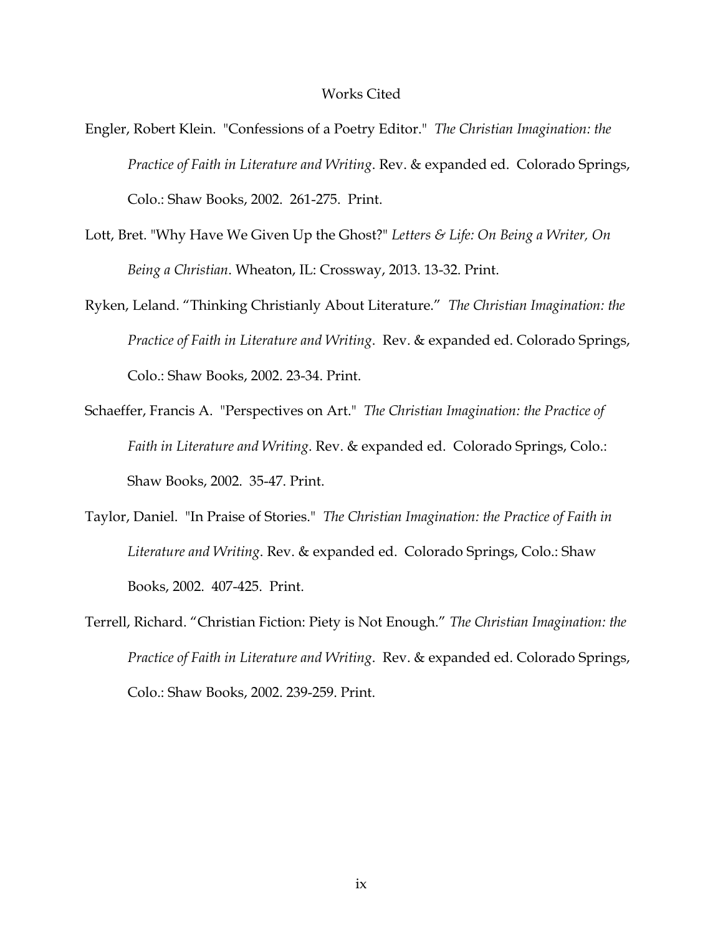#### Works Cited

- Engler, Robert Klein. "Confessions of a Poetry Editor." *The Christian Imagination: the Practice of Faith in Literature and Writing*. Rev. & expanded ed. Colorado Springs, Colo.: Shaw Books, 2002. 261-275. Print.
- Lott, Bret. "Why Have We Given Up the Ghost?" *Letters & Life: On Being a Writer, On Being a Christian*. Wheaton, IL: Crossway, 2013. 13-32. Print.
- Ryken, Leland. "Thinking Christianly About Literature." *The Christian Imagination: the Practice of Faith in Literature and Writing*. Rev. & expanded ed. Colorado Springs, Colo.: Shaw Books, 2002. 23-34. Print.
- Schaeffer, Francis A. "Perspectives on Art." *The Christian Imagination: the Practice of Faith in Literature and Writing*. Rev. & expanded ed. Colorado Springs, Colo.: Shaw Books, 2002. 35-47. Print.
- Taylor, Daniel. "In Praise of Stories." *The Christian Imagination: the Practice of Faith in Literature and Writing*. Rev. & expanded ed. Colorado Springs, Colo.: Shaw Books, 2002. 407-425. Print.
- Terrell, Richard. "Christian Fiction: Piety is Not Enough." *The Christian Imagination: the Practice of Faith in Literature and Writing*. Rev. & expanded ed. Colorado Springs, Colo.: Shaw Books, 2002. 239-259. Print.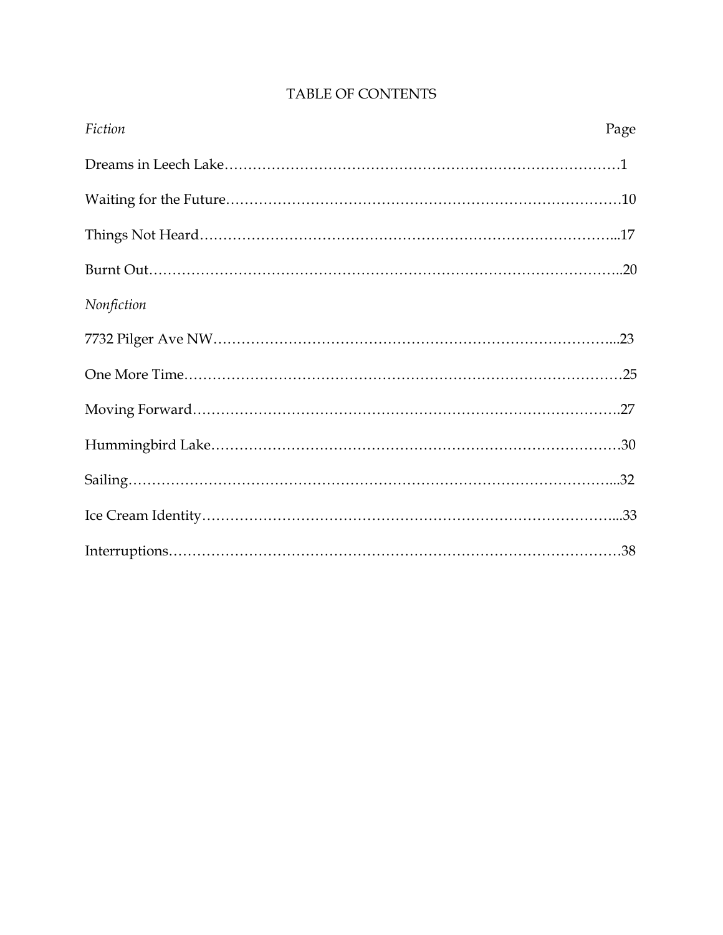| Fiction    | Page |
|------------|------|
|            |      |
|            |      |
|            |      |
|            |      |
| Nonfiction |      |
|            |      |
|            |      |
|            |      |
|            |      |
|            |      |
|            |      |
|            |      |

# TABLE OF CONTENTS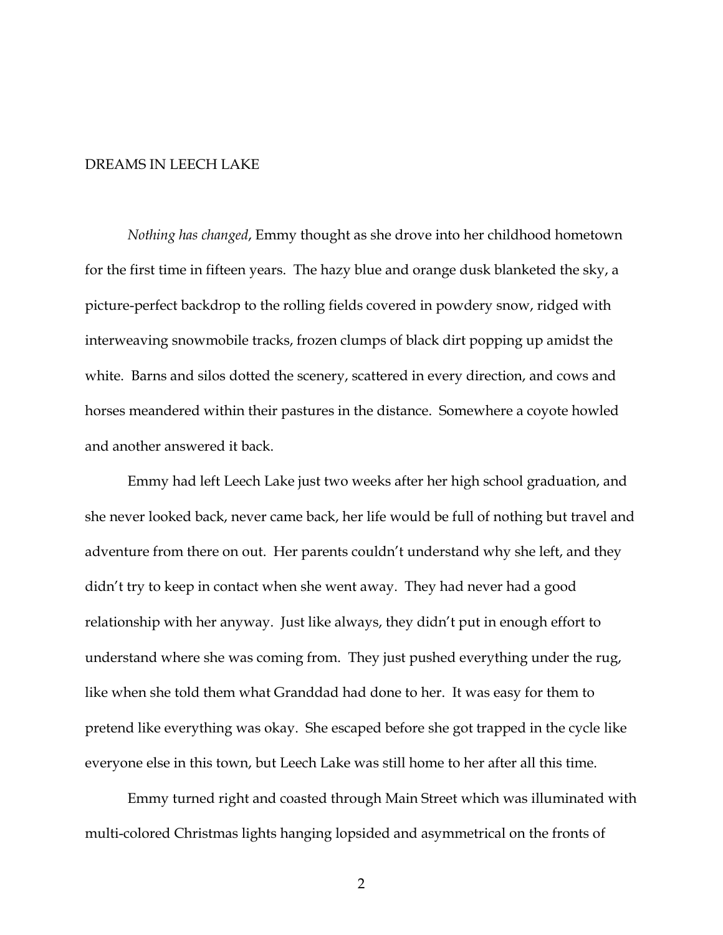## DREAMS IN LEECH LAKE

*Nothing has changed*, Emmy thought as she drove into her childhood hometown for the first time in fifteen years. The hazy blue and orange dusk blanketed the sky, a picture-perfect backdrop to the rolling fields covered in powdery snow, ridged with interweaving snowmobile tracks, frozen clumps of black dirt popping up amidst the white. Barns and silos dotted the scenery, scattered in every direction, and cows and horses meandered within their pastures in the distance. Somewhere a coyote howled and another answered it back.

Emmy had left Leech Lake just two weeks after her high school graduation, and she never looked back, never came back, her life would be full of nothing but travel and adventure from there on out. Her parents couldn't understand why she left, and they didn't try to keep in contact when she went away. They had never had a good relationship with her anyway. Just like always, they didn't put in enough effort to understand where she was coming from. They just pushed everything under the rug, like when she told them what Granddad had done to her. It was easy for them to pretend like everything was okay. She escaped before she got trapped in the cycle like everyone else in this town, but Leech Lake was still home to her after all this time.

Emmy turned right and coasted through Main Street which was illuminated with multi-colored Christmas lights hanging lopsided and asymmetrical on the fronts of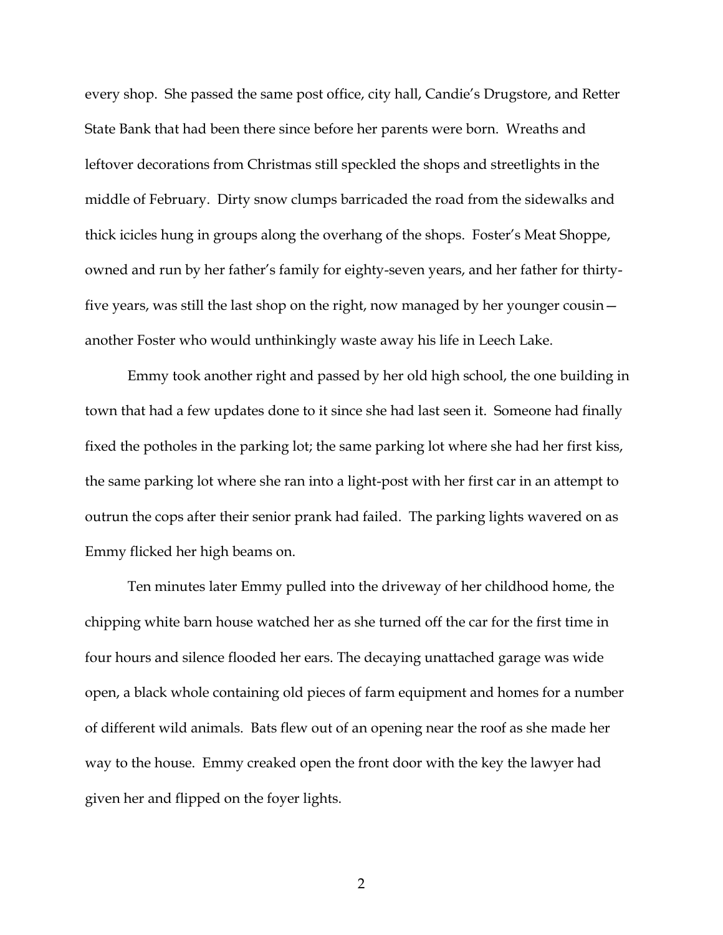every shop. She passed the same post office, city hall, Candie's Drugstore, and Retter State Bank that had been there since before her parents were born. Wreaths and leftover decorations from Christmas still speckled the shops and streetlights in the middle of February. Dirty snow clumps barricaded the road from the sidewalks and thick icicles hung in groups along the overhang of the shops. Foster's Meat Shoppe, owned and run by her father's family for eighty-seven years, and her father for thirtyfive years, was still the last shop on the right, now managed by her younger cousin another Foster who would unthinkingly waste away his life in Leech Lake.

Emmy took another right and passed by her old high school, the one building in town that had a few updates done to it since she had last seen it. Someone had finally fixed the potholes in the parking lot; the same parking lot where she had her first kiss, the same parking lot where she ran into a light-post with her first car in an attempt to outrun the cops after their senior prank had failed. The parking lights wavered on as Emmy flicked her high beams on.

Ten minutes later Emmy pulled into the driveway of her childhood home, the chipping white barn house watched her as she turned off the car for the first time in four hours and silence flooded her ears. The decaying unattached garage was wide open, a black whole containing old pieces of farm equipment and homes for a number of different wild animals. Bats flew out of an opening near the roof as she made her way to the house. Emmy creaked open the front door with the key the lawyer had given her and flipped on the foyer lights.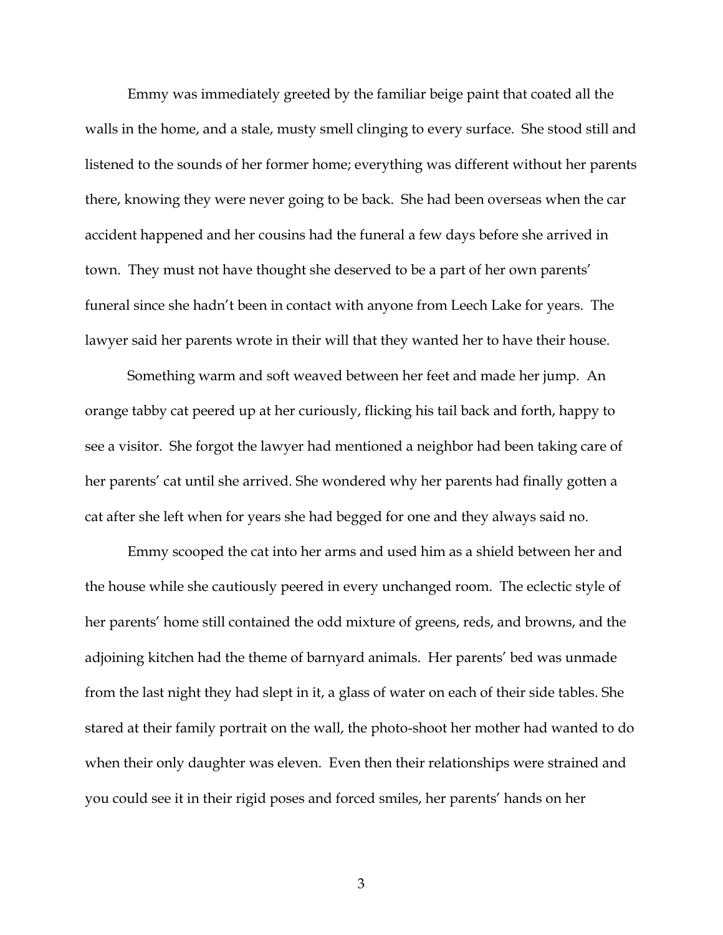Emmy was immediately greeted by the familiar beige paint that coated all the walls in the home, and a stale, musty smell clinging to every surface. She stood still and listened to the sounds of her former home; everything was different without her parents there, knowing they were never going to be back. She had been overseas when the car accident happened and her cousins had the funeral a few days before she arrived in town. They must not have thought she deserved to be a part of her own parents' funeral since she hadn't been in contact with anyone from Leech Lake for years. The lawyer said her parents wrote in their will that they wanted her to have their house.

Something warm and soft weaved between her feet and made her jump. An orange tabby cat peered up at her curiously, flicking his tail back and forth, happy to see a visitor. She forgot the lawyer had mentioned a neighbor had been taking care of her parents' cat until she arrived. She wondered why her parents had finally gotten a cat after she left when for years she had begged for one and they always said no.

Emmy scooped the cat into her arms and used him as a shield between her and the house while she cautiously peered in every unchanged room. The eclectic style of her parents' home still contained the odd mixture of greens, reds, and browns, and the adjoining kitchen had the theme of barnyard animals. Her parents' bed was unmade from the last night they had slept in it, a glass of water on each of their side tables. She stared at their family portrait on the wall, the photo-shoot her mother had wanted to do when their only daughter was eleven. Even then their relationships were strained and you could see it in their rigid poses and forced smiles, her parents' hands on her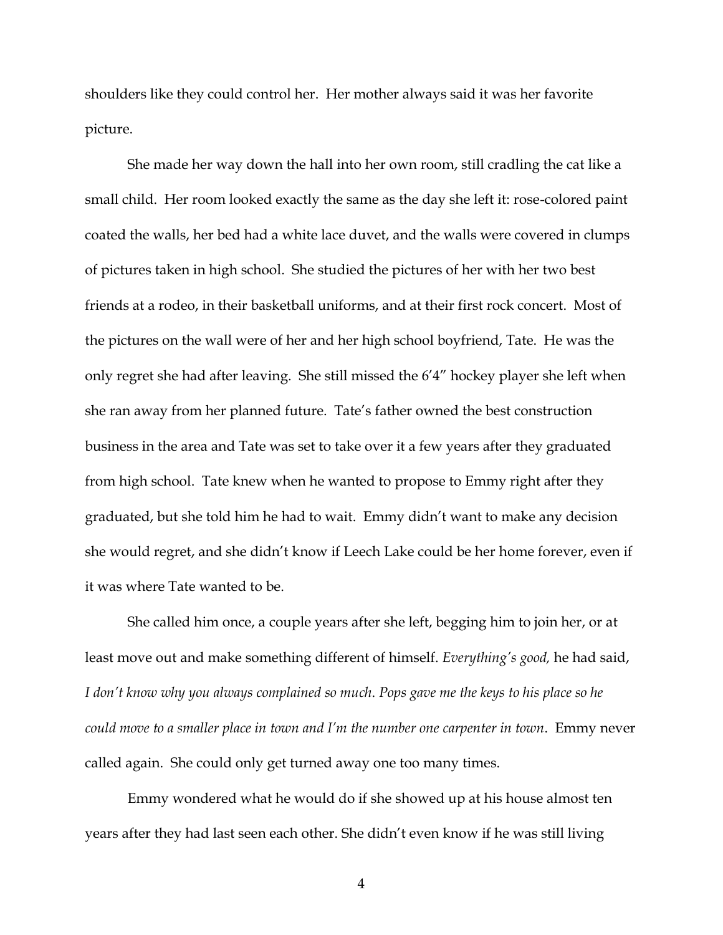shoulders like they could control her. Her mother always said it was her favorite picture.

She made her way down the hall into her own room, still cradling the cat like a small child. Her room looked exactly the same as the day she left it: rose-colored paint coated the walls, her bed had a white lace duvet, and the walls were covered in clumps of pictures taken in high school. She studied the pictures of her with her two best friends at a rodeo, in their basketball uniforms, and at their first rock concert. Most of the pictures on the wall were of her and her high school boyfriend, Tate. He was the only regret she had after leaving. She still missed the 6'4" hockey player she left when she ran away from her planned future. Tate's father owned the best construction business in the area and Tate was set to take over it a few years after they graduated from high school. Tate knew when he wanted to propose to Emmy right after they graduated, but she told him he had to wait. Emmy didn't want to make any decision she would regret, and she didn't know if Leech Lake could be her home forever, even if it was where Tate wanted to be.

She called him once, a couple years after she left, begging him to join her, or at least move out and make something different of himself. *Everything's good,* he had said, *I don't know why you always complained so much*. *Pops gave me the keys to his place so he could move to a smaller place in town and I'm the number one carpenter in town*. Emmy never called again. She could only get turned away one too many times.

Emmy wondered what he would do if she showed up at his house almost ten years after they had last seen each other. She didn't even know if he was still living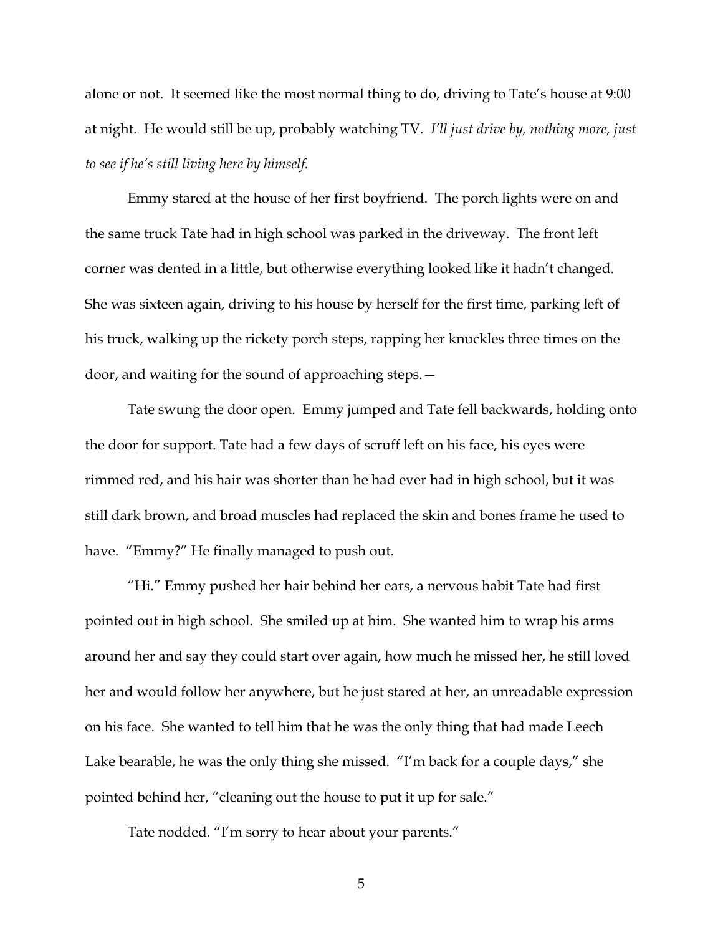alone or not. It seemed like the most normal thing to do, driving to Tate's house at 9:00 at night. He would still be up, probably watching TV. *I'll just drive by, nothing more, just to see if he's still living here by himself.* 

Emmy stared at the house of her first boyfriend. The porch lights were on and the same truck Tate had in high school was parked in the driveway. The front left corner was dented in a little, but otherwise everything looked like it hadn't changed. She was sixteen again, driving to his house by herself for the first time, parking left of his truck, walking up the rickety porch steps, rapping her knuckles three times on the door, and waiting for the sound of approaching steps.—

Tate swung the door open. Emmy jumped and Tate fell backwards, holding onto the door for support. Tate had a few days of scruff left on his face, his eyes were rimmed red, and his hair was shorter than he had ever had in high school, but it was still dark brown, and broad muscles had replaced the skin and bones frame he used to have. "Emmy?" He finally managed to push out.

"Hi." Emmy pushed her hair behind her ears, a nervous habit Tate had first pointed out in high school. She smiled up at him. She wanted him to wrap his arms around her and say they could start over again, how much he missed her, he still loved her and would follow her anywhere, but he just stared at her, an unreadable expression on his face. She wanted to tell him that he was the only thing that had made Leech Lake bearable, he was the only thing she missed. "I'm back for a couple days," she pointed behind her, "cleaning out the house to put it up for sale."

Tate nodded. "I'm sorry to hear about your parents."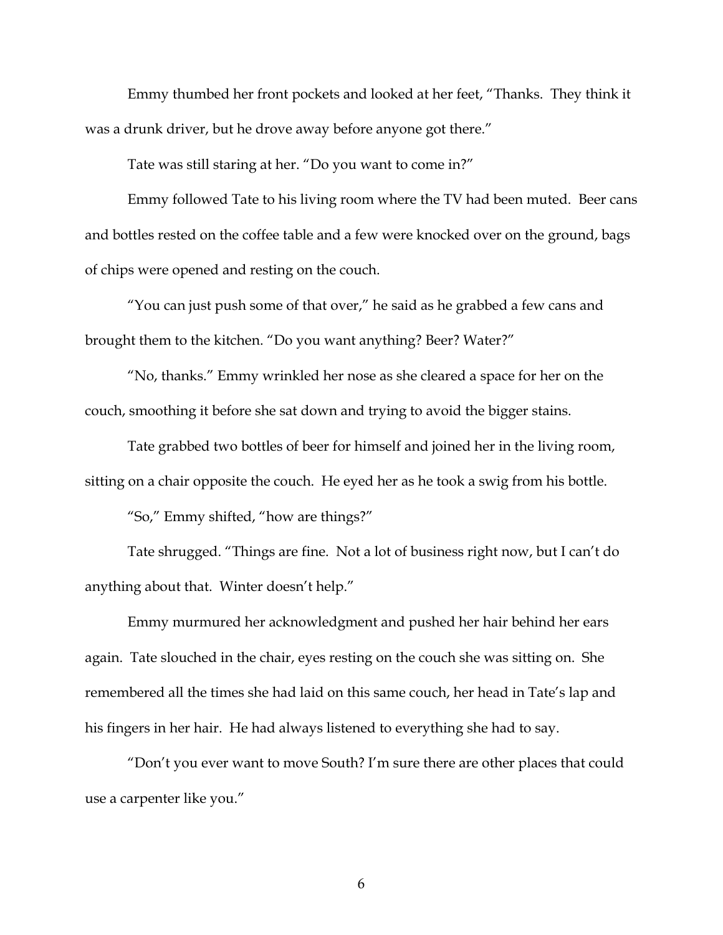Emmy thumbed her front pockets and looked at her feet, "Thanks. They think it was a drunk driver, but he drove away before anyone got there."

Tate was still staring at her. "Do you want to come in?"

Emmy followed Tate to his living room where the TV had been muted. Beer cans and bottles rested on the coffee table and a few were knocked over on the ground, bags of chips were opened and resting on the couch.

"You can just push some of that over," he said as he grabbed a few cans and brought them to the kitchen. "Do you want anything? Beer? Water?"

"No, thanks." Emmy wrinkled her nose as she cleared a space for her on the couch, smoothing it before she sat down and trying to avoid the bigger stains.

Tate grabbed two bottles of beer for himself and joined her in the living room, sitting on a chair opposite the couch. He eyed her as he took a swig from his bottle.

"So," Emmy shifted, "how are things?"

Tate shrugged. "Things are fine. Not a lot of business right now, but I can't do anything about that. Winter doesn't help."

Emmy murmured her acknowledgment and pushed her hair behind her ears again. Tate slouched in the chair, eyes resting on the couch she was sitting on. She remembered all the times she had laid on this same couch, her head in Tate's lap and his fingers in her hair. He had always listened to everything she had to say.

"Don't you ever want to move South? I'm sure there are other places that could use a carpenter like you."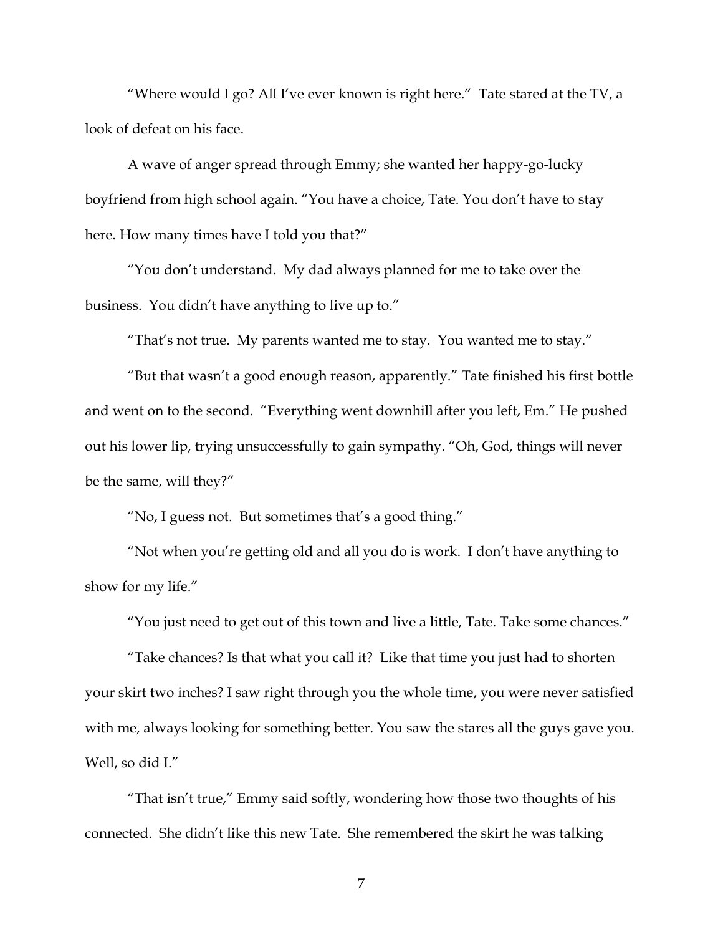"Where would I go? All I've ever known is right here." Tate stared at the TV, a look of defeat on his face.

A wave of anger spread through Emmy; she wanted her happy-go-lucky boyfriend from high school again. "You have a choice, Tate. You don't have to stay here. How many times have I told you that?"

"You don't understand. My dad always planned for me to take over the business. You didn't have anything to live up to."

"That's not true. My parents wanted me to stay. You wanted me to stay."

"But that wasn't a good enough reason, apparently." Tate finished his first bottle and went on to the second. "Everything went downhill after you left, Em." He pushed out his lower lip, trying unsuccessfully to gain sympathy. "Oh, God, things will never be the same, will they?"

"No, I guess not. But sometimes that's a good thing."

"Not when you're getting old and all you do is work. I don't have anything to show for my life."

"You just need to get out of this town and live a little, Tate. Take some chances."

"Take chances? Is that what you call it? Like that time you just had to shorten your skirt two inches? I saw right through you the whole time, you were never satisfied with me, always looking for something better. You saw the stares all the guys gave you. Well, so did I."

"That isn't true," Emmy said softly, wondering how those two thoughts of his connected. She didn't like this new Tate. She remembered the skirt he was talking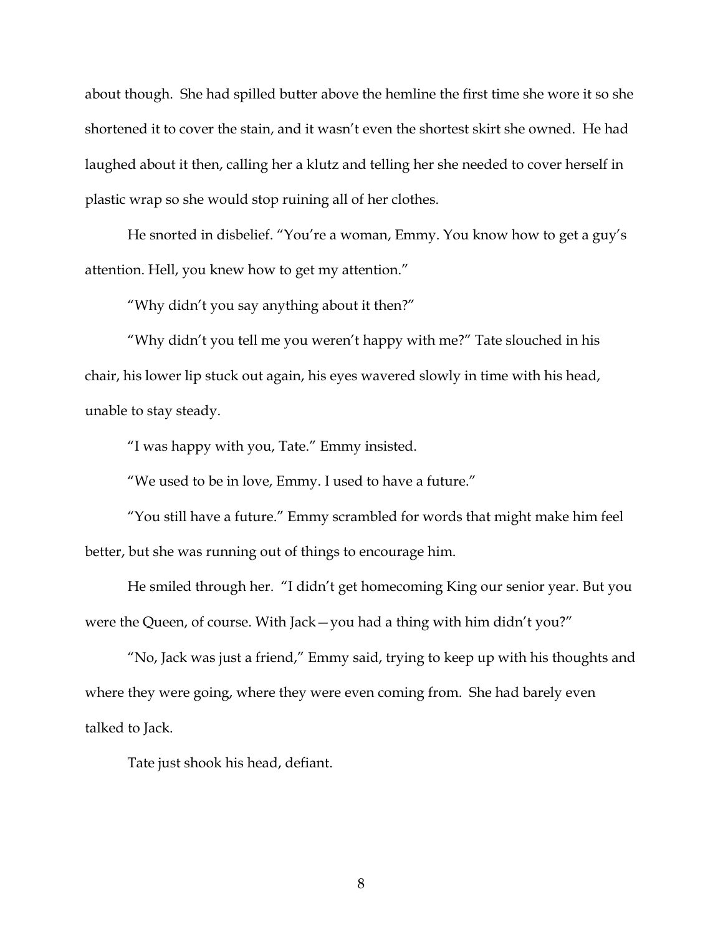about though. She had spilled butter above the hemline the first time she wore it so she shortened it to cover the stain, and it wasn't even the shortest skirt she owned. He had laughed about it then, calling her a klutz and telling her she needed to cover herself in plastic wrap so she would stop ruining all of her clothes.

He snorted in disbelief. "You're a woman, Emmy. You know how to get a guy's attention. Hell, you knew how to get my attention."

"Why didn't you say anything about it then?"

"Why didn't you tell me you weren't happy with me?" Tate slouched in his chair, his lower lip stuck out again, his eyes wavered slowly in time with his head, unable to stay steady.

"I was happy with you, Tate." Emmy insisted.

"We used to be in love, Emmy. I used to have a future."

"You still have a future." Emmy scrambled for words that might make him feel better, but she was running out of things to encourage him.

He smiled through her. "I didn't get homecoming King our senior year. But you were the Queen, of course. With Jack—you had a thing with him didn't you?"

"No, Jack was just a friend," Emmy said, trying to keep up with his thoughts and where they were going, where they were even coming from. She had barely even talked to Jack.

Tate just shook his head, defiant.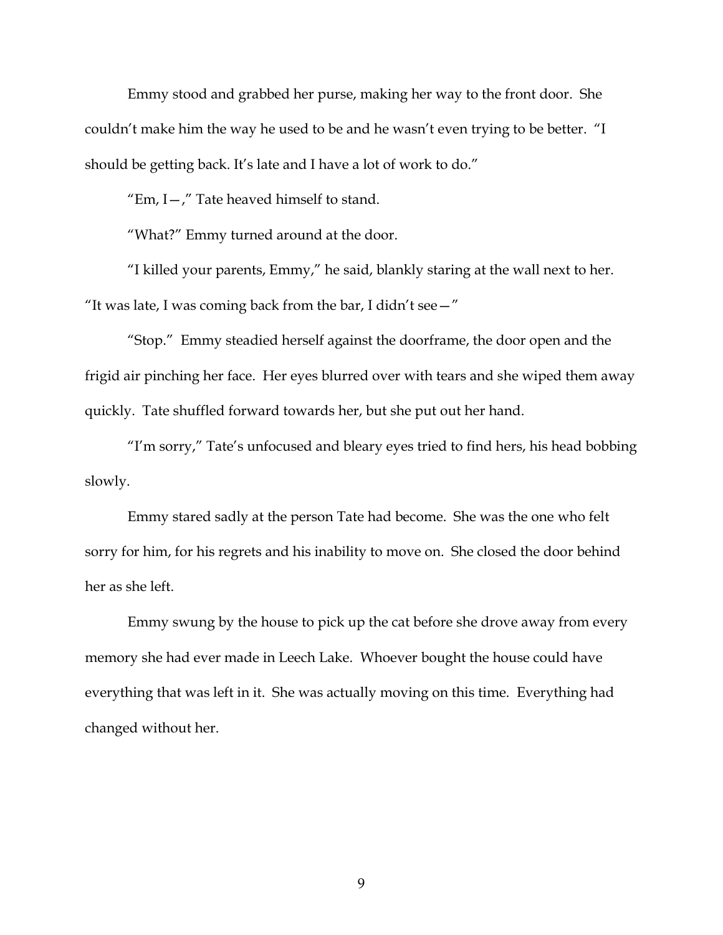Emmy stood and grabbed her purse, making her way to the front door. She couldn't make him the way he used to be and he wasn't even trying to be better. "I should be getting back. It's late and I have a lot of work to do."

"Em,  $I -$ ," Tate heaved himself to stand.

"What?" Emmy turned around at the door.

"I killed your parents, Emmy," he said, blankly staring at the wall next to her. "It was late, I was coming back from the bar, I didn't see  $-$ "

"Stop." Emmy steadied herself against the doorframe, the door open and the frigid air pinching her face. Her eyes blurred over with tears and she wiped them away quickly. Tate shuffled forward towards her, but she put out her hand.

"I'm sorry," Tate's unfocused and bleary eyes tried to find hers, his head bobbing slowly.

Emmy stared sadly at the person Tate had become. She was the one who felt sorry for him, for his regrets and his inability to move on. She closed the door behind her as she left.

Emmy swung by the house to pick up the cat before she drove away from every memory she had ever made in Leech Lake. Whoever bought the house could have everything that was left in it. She was actually moving on this time. Everything had changed without her.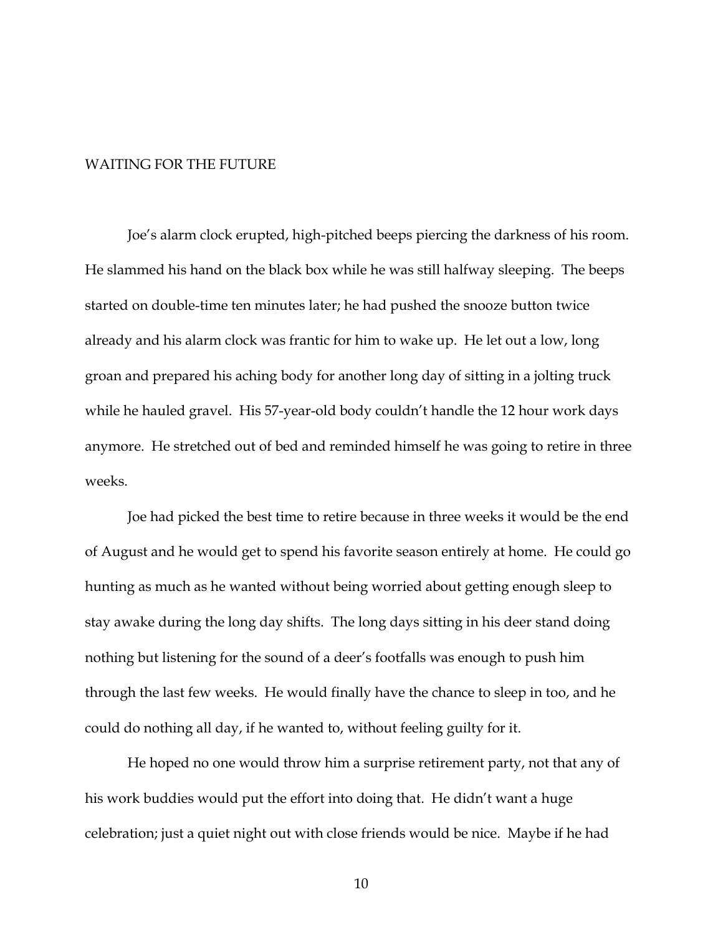#### WAITING FOR THE FUTURE

Joe's alarm clock erupted, high-pitched beeps piercing the darkness of his room. He slammed his hand on the black box while he was still halfway sleeping. The beeps started on double-time ten minutes later; he had pushed the snooze button twice already and his alarm clock was frantic for him to wake up. He let out a low, long groan and prepared his aching body for another long day of sitting in a jolting truck while he hauled gravel. His 57-year-old body couldn't handle the 12 hour work days anymore. He stretched out of bed and reminded himself he was going to retire in three weeks.

Joe had picked the best time to retire because in three weeks it would be the end of August and he would get to spend his favorite season entirely at home. He could go hunting as much as he wanted without being worried about getting enough sleep to stay awake during the long day shifts. The long days sitting in his deer stand doing nothing but listening for the sound of a deer's footfalls was enough to push him through the last few weeks. He would finally have the chance to sleep in too, and he could do nothing all day, if he wanted to, without feeling guilty for it.

He hoped no one would throw him a surprise retirement party, not that any of his work buddies would put the effort into doing that. He didn't want a huge celebration; just a quiet night out with close friends would be nice. Maybe if he had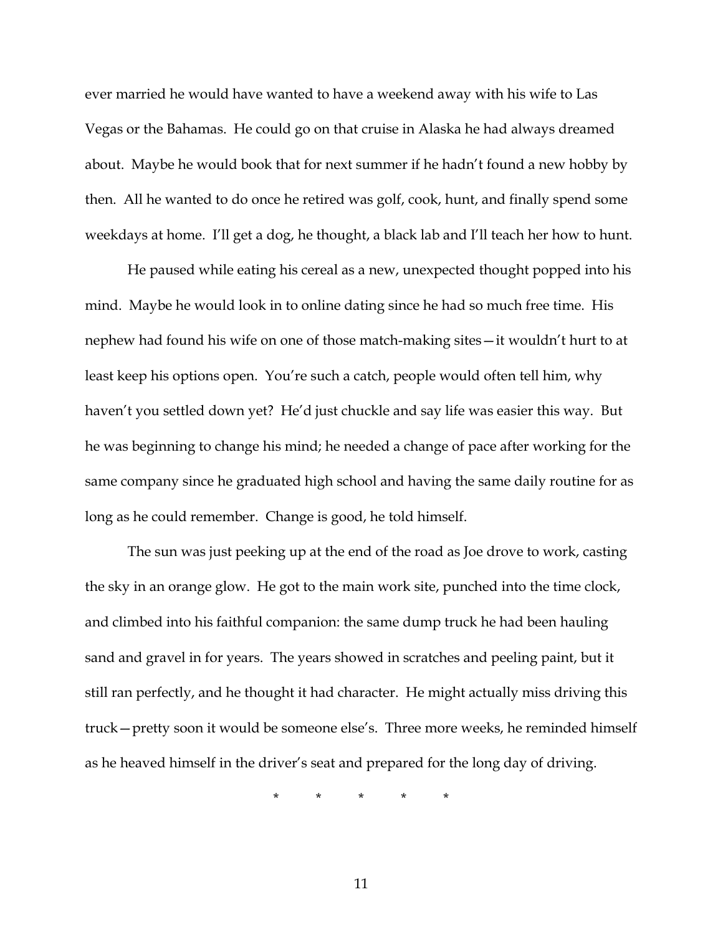ever married he would have wanted to have a weekend away with his wife to Las Vegas or the Bahamas. He could go on that cruise in Alaska he had always dreamed about. Maybe he would book that for next summer if he hadn't found a new hobby by then. All he wanted to do once he retired was golf, cook, hunt, and finally spend some weekdays at home. I'll get a dog, he thought, a black lab and I'll teach her how to hunt.

He paused while eating his cereal as a new, unexpected thought popped into his mind. Maybe he would look in to online dating since he had so much free time. His nephew had found his wife on one of those match-making sites—it wouldn't hurt to at least keep his options open. You're such a catch, people would often tell him, why haven't you settled down yet? He'd just chuckle and say life was easier this way. But he was beginning to change his mind; he needed a change of pace after working for the same company since he graduated high school and having the same daily routine for as long as he could remember. Change is good, he told himself.

The sun was just peeking up at the end of the road as Joe drove to work, casting the sky in an orange glow. He got to the main work site, punched into the time clock, and climbed into his faithful companion: the same dump truck he had been hauling sand and gravel in for years. The years showed in scratches and peeling paint, but it still ran perfectly, and he thought it had character. He might actually miss driving this truck—pretty soon it would be someone else's. Three more weeks, he reminded himself as he heaved himself in the driver's seat and prepared for the long day of driving.

\* \* \* \* \*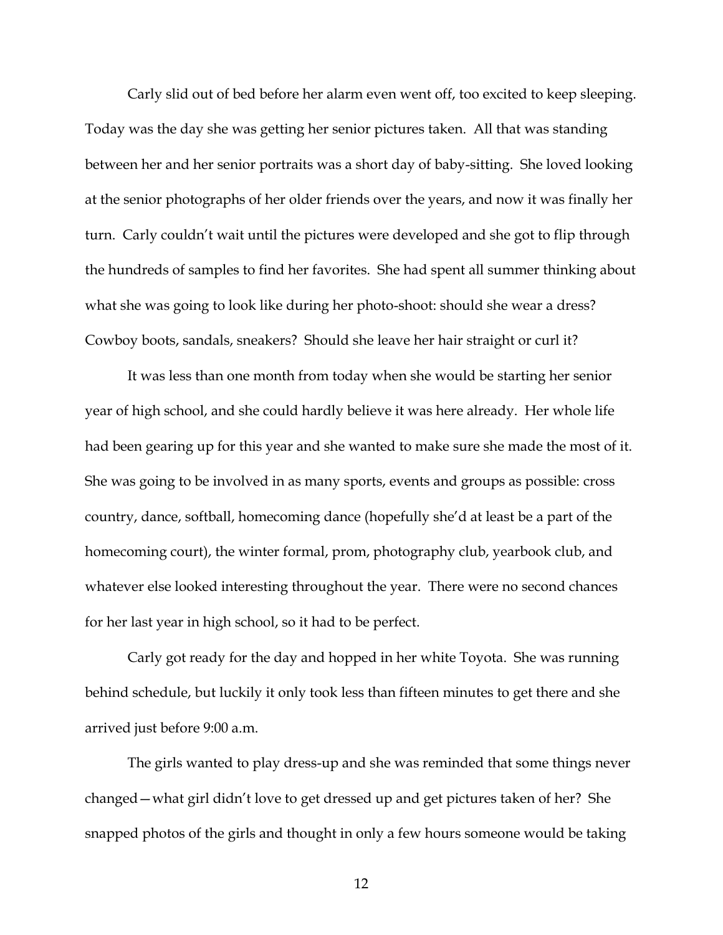Carly slid out of bed before her alarm even went off, too excited to keep sleeping. Today was the day she was getting her senior pictures taken. All that was standing between her and her senior portraits was a short day of baby-sitting. She loved looking at the senior photographs of her older friends over the years, and now it was finally her turn. Carly couldn't wait until the pictures were developed and she got to flip through the hundreds of samples to find her favorites. She had spent all summer thinking about what she was going to look like during her photo-shoot: should she wear a dress? Cowboy boots, sandals, sneakers? Should she leave her hair straight or curl it?

It was less than one month from today when she would be starting her senior year of high school, and she could hardly believe it was here already. Her whole life had been gearing up for this year and she wanted to make sure she made the most of it. She was going to be involved in as many sports, events and groups as possible: cross country, dance, softball, homecoming dance (hopefully she'd at least be a part of the homecoming court), the winter formal, prom, photography club, yearbook club, and whatever else looked interesting throughout the year. There were no second chances for her last year in high school, so it had to be perfect.

Carly got ready for the day and hopped in her white Toyota. She was running behind schedule, but luckily it only took less than fifteen minutes to get there and she arrived just before 9:00 a.m.

The girls wanted to play dress-up and she was reminded that some things never changed—what girl didn't love to get dressed up and get pictures taken of her? She snapped photos of the girls and thought in only a few hours someone would be taking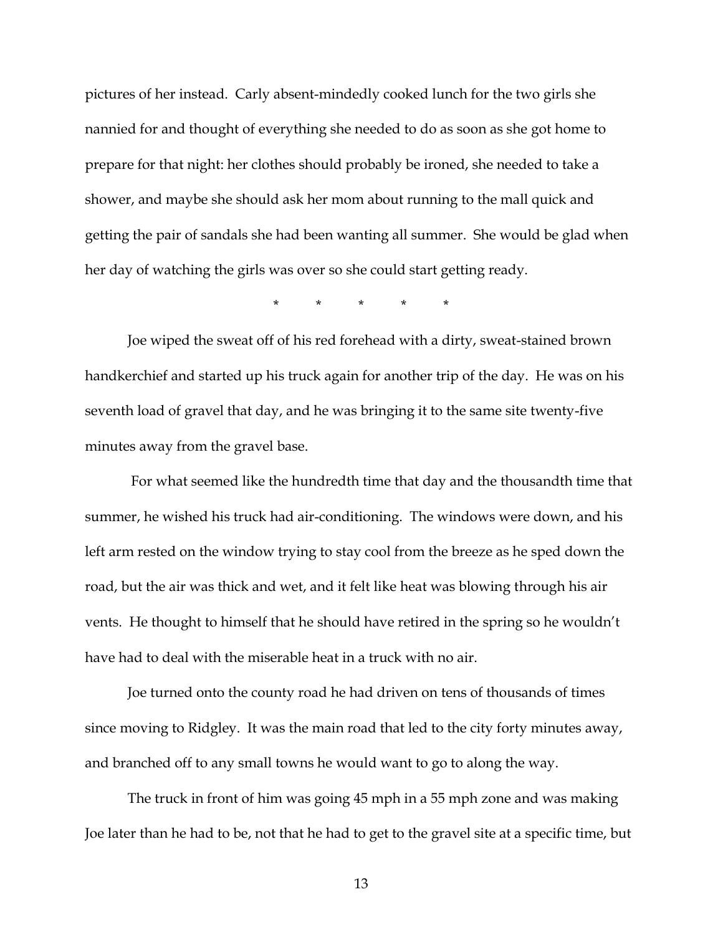pictures of her instead. Carly absent-mindedly cooked lunch for the two girls she nannied for and thought of everything she needed to do as soon as she got home to prepare for that night: her clothes should probably be ironed, she needed to take a shower, and maybe she should ask her mom about running to the mall quick and getting the pair of sandals she had been wanting all summer. She would be glad when her day of watching the girls was over so she could start getting ready.

\* \* \* \* \*

Joe wiped the sweat off of his red forehead with a dirty, sweat-stained brown handkerchief and started up his truck again for another trip of the day. He was on his seventh load of gravel that day, and he was bringing it to the same site twenty-five minutes away from the gravel base.

For what seemed like the hundredth time that day and the thousandth time that summer, he wished his truck had air-conditioning. The windows were down, and his left arm rested on the window trying to stay cool from the breeze as he sped down the road, but the air was thick and wet, and it felt like heat was blowing through his air vents. He thought to himself that he should have retired in the spring so he wouldn't have had to deal with the miserable heat in a truck with no air.

Joe turned onto the county road he had driven on tens of thousands of times since moving to Ridgley. It was the main road that led to the city forty minutes away, and branched off to any small towns he would want to go to along the way.

The truck in front of him was going 45 mph in a 55 mph zone and was making Joe later than he had to be, not that he had to get to the gravel site at a specific time, but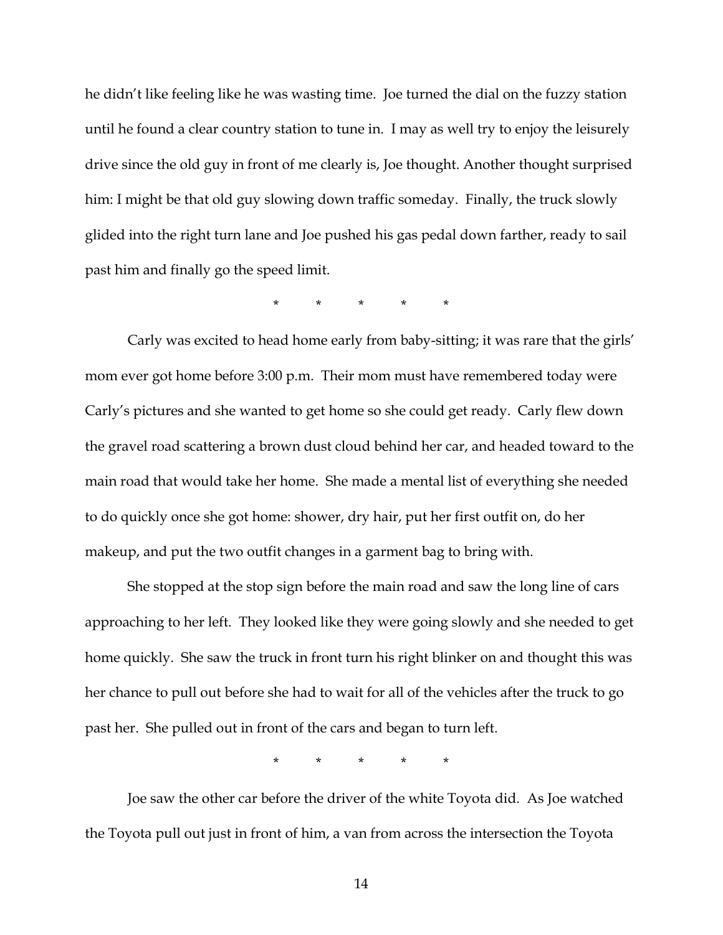he didn't like feeling like he was wasting time. Joe turned the dial on the fuzzy station until he found a clear country station to tune in. I may as well try to enjoy the leisurely drive since the old guy in front of me clearly is, Joe thought. Another thought surprised him: I might be that old guy slowing down traffic someday. Finally, the truck slowly glided into the right turn lane and Joe pushed his gas pedal down farther, ready to sail past him and finally go the speed limit.

\* \* \* \* \*

Carly was excited to head home early from baby-sitting; it was rare that the girls' mom ever got home before 3:00 p.m. Their mom must have remembered today were Carly's pictures and she wanted to get home so she could get ready. Carly flew down the gravel road scattering a brown dust cloud behind her car, and headed toward to the main road that would take her home. She made a mental list of everything she needed to do quickly once she got home: shower, dry hair, put her first outfit on, do her makeup, and put the two outfit changes in a garment bag to bring with.

She stopped at the stop sign before the main road and saw the long line of cars approaching to her left. They looked like they were going slowly and she needed to get home quickly. She saw the truck in front turn his right blinker on and thought this was her chance to pull out before she had to wait for all of the vehicles after the truck to go past her. She pulled out in front of the cars and began to turn left.

\* \* \* \* \*

Joe saw the other car before the driver of the white Toyota did. As Joe watched the Toyota pull out just in front of him, a van from across the intersection the Toyota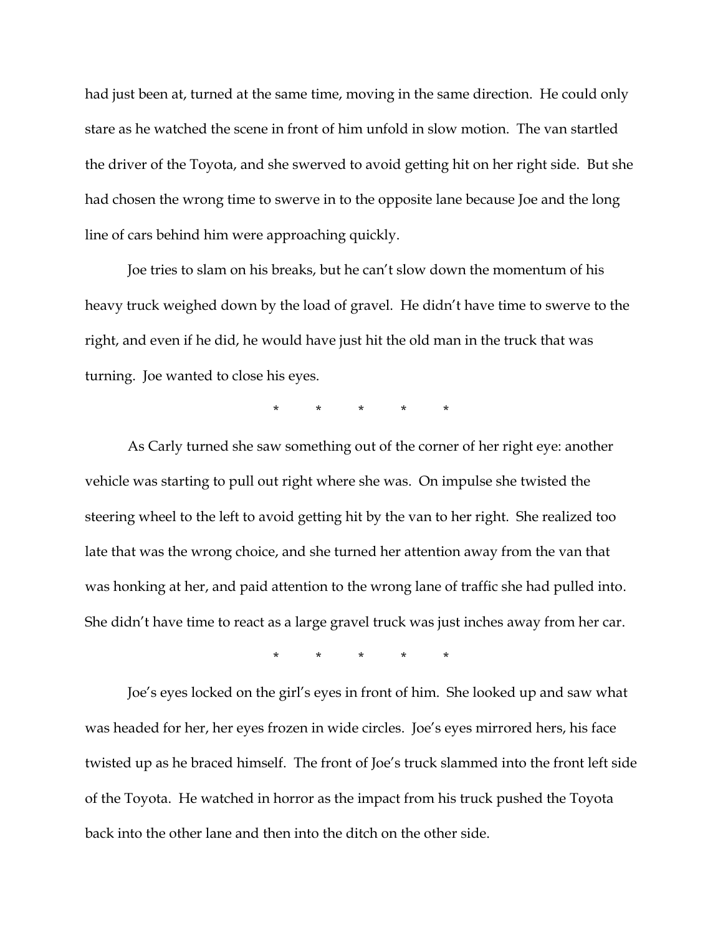had just been at, turned at the same time, moving in the same direction. He could only stare as he watched the scene in front of him unfold in slow motion. The van startled the driver of the Toyota, and she swerved to avoid getting hit on her right side. But she had chosen the wrong time to swerve in to the opposite lane because Joe and the long line of cars behind him were approaching quickly.

Joe tries to slam on his breaks, but he can't slow down the momentum of his heavy truck weighed down by the load of gravel. He didn't have time to swerve to the right, and even if he did, he would have just hit the old man in the truck that was turning. Joe wanted to close his eyes.

\* \* \* \* \*

As Carly turned she saw something out of the corner of her right eye: another vehicle was starting to pull out right where she was. On impulse she twisted the steering wheel to the left to avoid getting hit by the van to her right. She realized too late that was the wrong choice, and she turned her attention away from the van that was honking at her, and paid attention to the wrong lane of traffic she had pulled into. She didn't have time to react as a large gravel truck was just inches away from her car.

\* \* \* \* \*

Joe's eyes locked on the girl's eyes in front of him. She looked up and saw what was headed for her, her eyes frozen in wide circles. Joe's eyes mirrored hers, his face twisted up as he braced himself. The front of Joe's truck slammed into the front left side of the Toyota. He watched in horror as the impact from his truck pushed the Toyota back into the other lane and then into the ditch on the other side.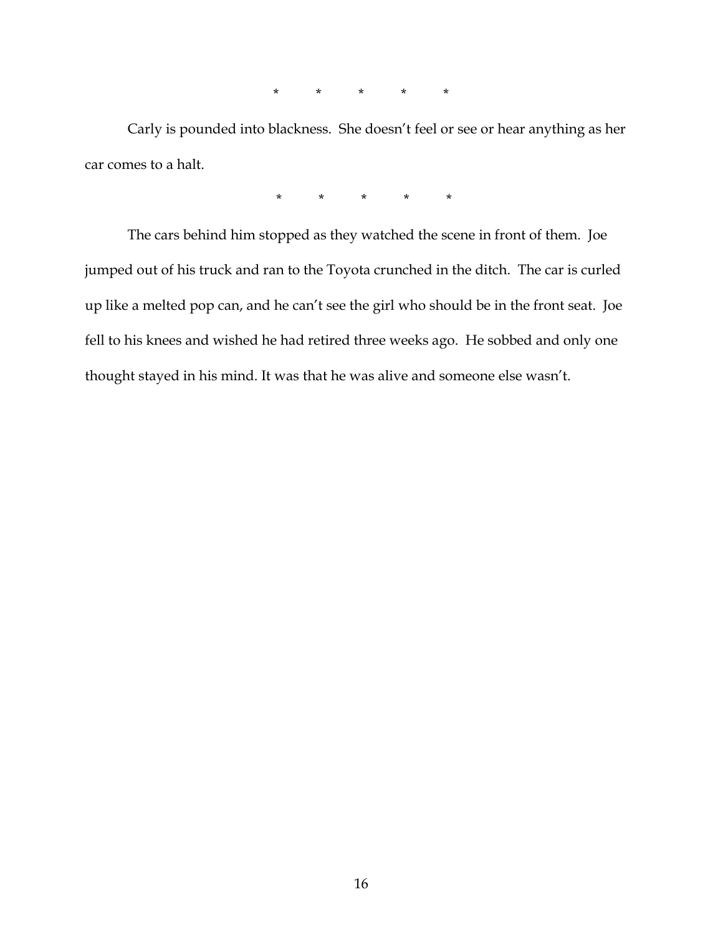\* \* \* \* \*

Carly is pounded into blackness. She doesn't feel or see or hear anything as her car comes to a halt.

\* \* \* \* \*

The cars behind him stopped as they watched the scene in front of them. Joe jumped out of his truck and ran to the Toyota crunched in the ditch. The car is curled up like a melted pop can, and he can't see the girl who should be in the front seat. Joe fell to his knees and wished he had retired three weeks ago. He sobbed and only one thought stayed in his mind. It was that he was alive and someone else wasn't.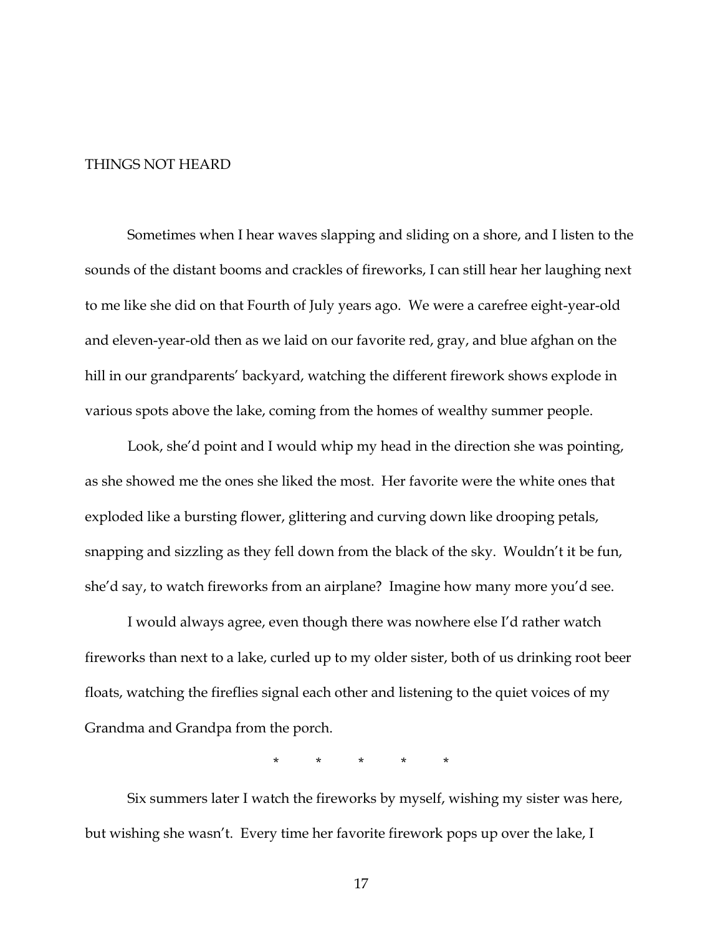## THINGS NOT HEARD

Sometimes when I hear waves slapping and sliding on a shore, and I listen to the sounds of the distant booms and crackles of fireworks, I can still hear her laughing next to me like she did on that Fourth of July years ago. We were a carefree eight-year-old and eleven-year-old then as we laid on our favorite red, gray, and blue afghan on the hill in our grandparents' backyard, watching the different firework shows explode in various spots above the lake, coming from the homes of wealthy summer people.

Look, she'd point and I would whip my head in the direction she was pointing, as she showed me the ones she liked the most. Her favorite were the white ones that exploded like a bursting flower, glittering and curving down like drooping petals, snapping and sizzling as they fell down from the black of the sky. Wouldn't it be fun, she'd say, to watch fireworks from an airplane? Imagine how many more you'd see.

I would always agree, even though there was nowhere else I'd rather watch fireworks than next to a lake, curled up to my older sister, both of us drinking root beer floats, watching the fireflies signal each other and listening to the quiet voices of my Grandma and Grandpa from the porch.

\* \* \* \* \*

Six summers later I watch the fireworks by myself, wishing my sister was here, but wishing she wasn't. Every time her favorite firework pops up over the lake, I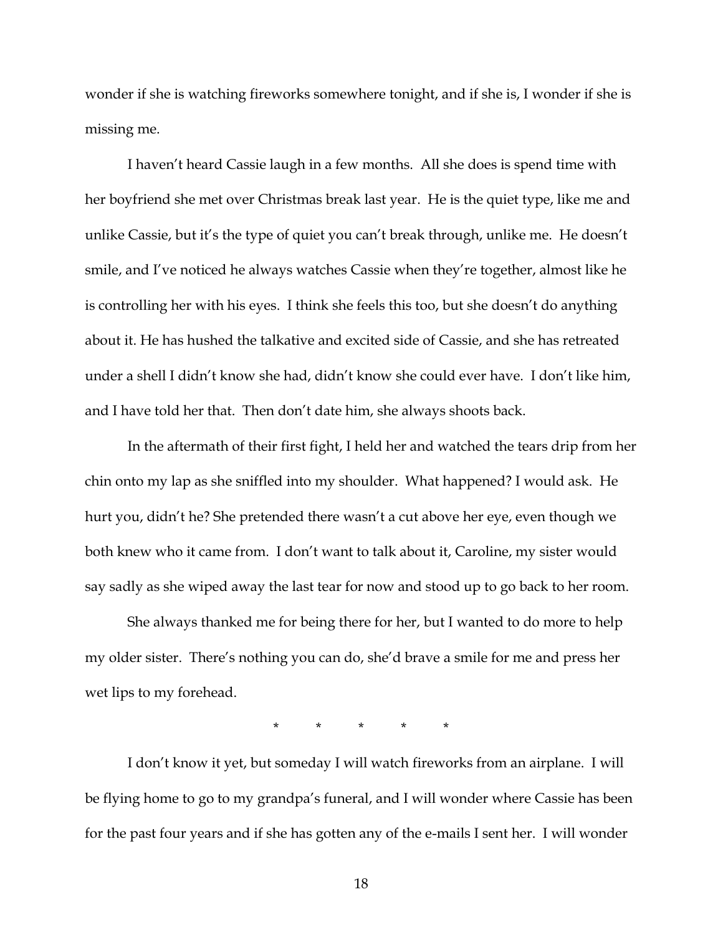wonder if she is watching fireworks somewhere tonight, and if she is, I wonder if she is missing me.

I haven't heard Cassie laugh in a few months. All she does is spend time with her boyfriend she met over Christmas break last year. He is the quiet type, like me and unlike Cassie, but it's the type of quiet you can't break through, unlike me. He doesn't smile, and I've noticed he always watches Cassie when they're together, almost like he is controlling her with his eyes. I think she feels this too, but she doesn't do anything about it. He has hushed the talkative and excited side of Cassie, and she has retreated under a shell I didn't know she had, didn't know she could ever have. I don't like him, and I have told her that. Then don't date him, she always shoots back.

In the aftermath of their first fight, I held her and watched the tears drip from her chin onto my lap as she sniffled into my shoulder. What happened? I would ask. He hurt you, didn't he? She pretended there wasn't a cut above her eye, even though we both knew who it came from. I don't want to talk about it, Caroline, my sister would say sadly as she wiped away the last tear for now and stood up to go back to her room.

She always thanked me for being there for her, but I wanted to do more to help my older sister. There's nothing you can do, she'd brave a smile for me and press her wet lips to my forehead.

\* \* \* \* \*

I don't know it yet, but someday I will watch fireworks from an airplane. I will be flying home to go to my grandpa's funeral, and I will wonder where Cassie has been for the past four years and if she has gotten any of the e-mails I sent her. I will wonder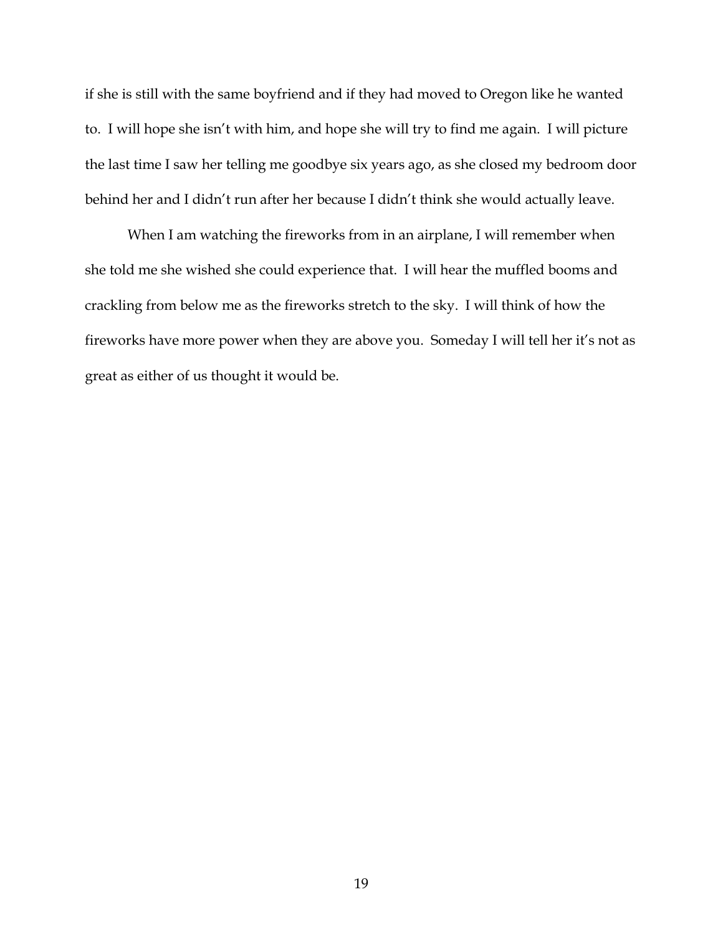if she is still with the same boyfriend and if they had moved to Oregon like he wanted to. I will hope she isn't with him, and hope she will try to find me again. I will picture the last time I saw her telling me goodbye six years ago, as she closed my bedroom door behind her and I didn't run after her because I didn't think she would actually leave.

When I am watching the fireworks from in an airplane, I will remember when she told me she wished she could experience that. I will hear the muffled booms and crackling from below me as the fireworks stretch to the sky. I will think of how the fireworks have more power when they are above you. Someday I will tell her it's not as great as either of us thought it would be.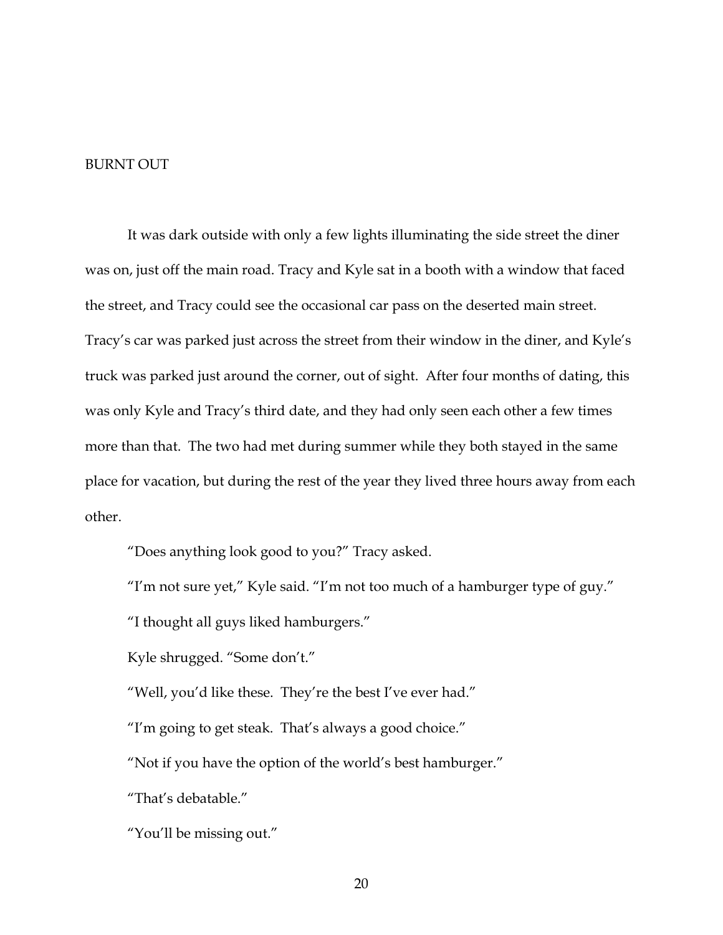## BURNT OUT

It was dark outside with only a few lights illuminating the side street the diner was on, just off the main road. Tracy and Kyle sat in a booth with a window that faced the street, and Tracy could see the occasional car pass on the deserted main street. Tracy's car was parked just across the street from their window in the diner, and Kyle's truck was parked just around the corner, out of sight. After four months of dating, this was only Kyle and Tracy's third date, and they had only seen each other a few times more than that. The two had met during summer while they both stayed in the same place for vacation, but during the rest of the year they lived three hours away from each other.

"Does anything look good to you?" Tracy asked.

"I'm not sure yet," Kyle said. "I'm not too much of a hamburger type of guy."

"I thought all guys liked hamburgers."

Kyle shrugged. "Some don't."

"Well, you'd like these. They're the best I've ever had."

"I'm going to get steak. That's always a good choice."

"Not if you have the option of the world's best hamburger."

"That's debatable."

"You'll be missing out."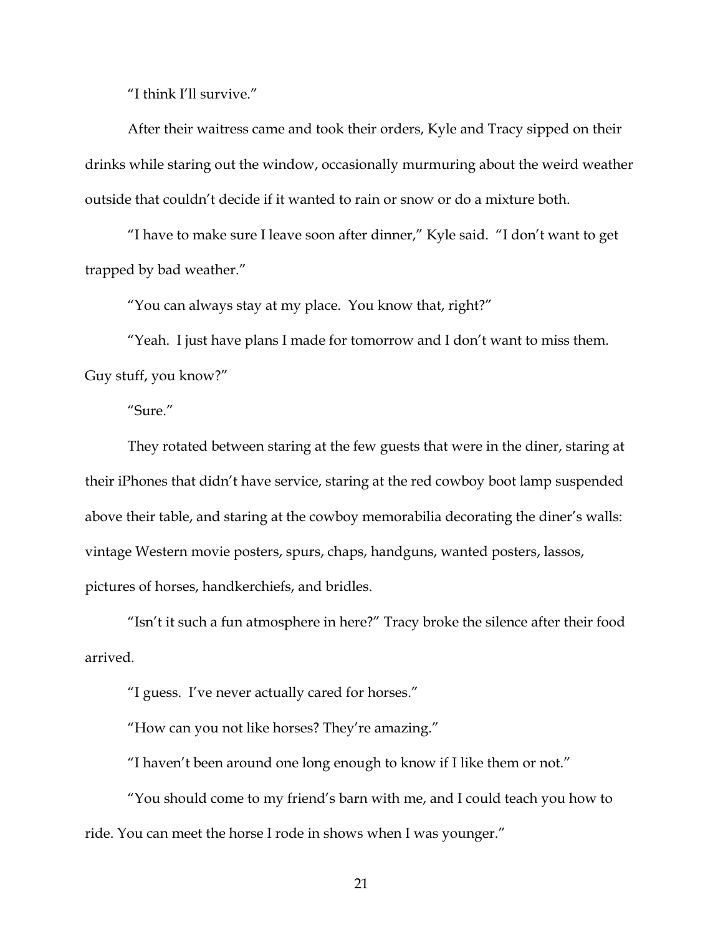"I think I'll survive."

After their waitress came and took their orders, Kyle and Tracy sipped on their drinks while staring out the window, occasionally murmuring about the weird weather outside that couldn't decide if it wanted to rain or snow or do a mixture both.

"I have to make sure I leave soon after dinner," Kyle said. "I don't want to get trapped by bad weather."

"You can always stay at my place. You know that, right?"

"Yeah. I just have plans I made for tomorrow and I don't want to miss them. Guy stuff, you know?"

"Sure."

They rotated between staring at the few guests that were in the diner, staring at their iPhones that didn't have service, staring at the red cowboy boot lamp suspended above their table, and staring at the cowboy memorabilia decorating the diner's walls: vintage Western movie posters, spurs, chaps, handguns, wanted posters, lassos, pictures of horses, handkerchiefs, and bridles.

"Isn't it such a fun atmosphere in here?" Tracy broke the silence after their food arrived.

"I guess. I've never actually cared for horses."

"How can you not like horses? They're amazing."

"I haven't been around one long enough to know if I like them or not."

"You should come to my friend's barn with me, and I could teach you how to ride. You can meet the horse I rode in shows when I was younger."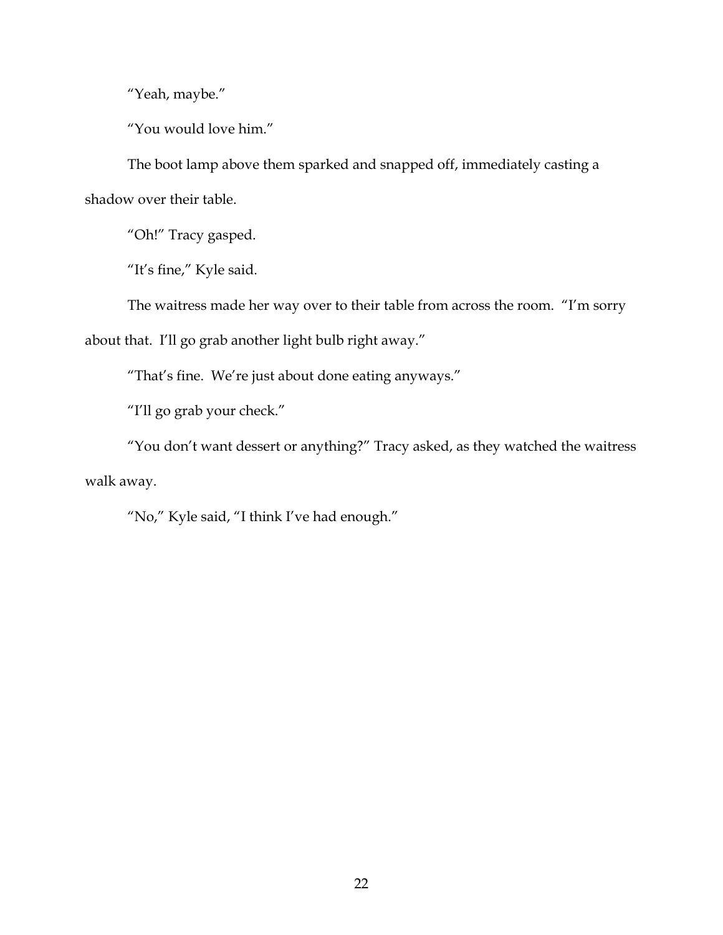"Yeah, maybe."

"You would love him."

The boot lamp above them sparked and snapped off, immediately casting a shadow over their table.

"Oh!" Tracy gasped.

"It's fine," Kyle said.

The waitress made her way over to their table from across the room. "I'm sorry

about that. I'll go grab another light bulb right away."

"That's fine. We're just about done eating anyways."

"I'll go grab your check."

"You don't want dessert or anything?" Tracy asked, as they watched the waitress walk away.

"No," Kyle said, "I think I've had enough."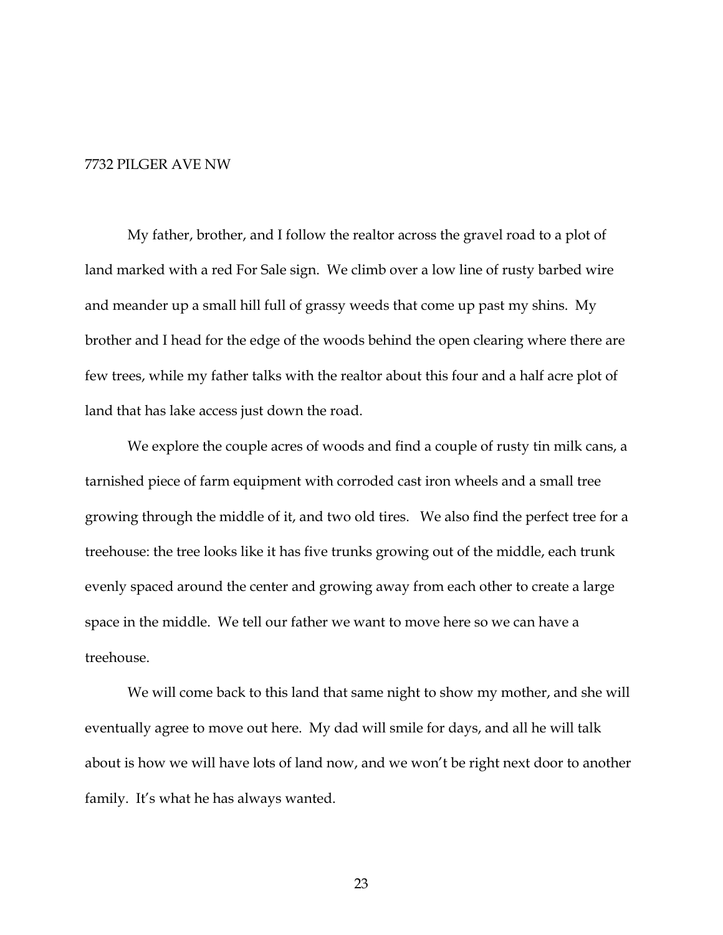## 7732 PILGER AVE NW

My father, brother, and I follow the realtor across the gravel road to a plot of land marked with a red For Sale sign. We climb over a low line of rusty barbed wire and meander up a small hill full of grassy weeds that come up past my shins. My brother and I head for the edge of the woods behind the open clearing where there are few trees, while my father talks with the realtor about this four and a half acre plot of land that has lake access just down the road.

We explore the couple acres of woods and find a couple of rusty tin milk cans, a tarnished piece of farm equipment with corroded cast iron wheels and a small tree growing through the middle of it, and two old tires. We also find the perfect tree for a treehouse: the tree looks like it has five trunks growing out of the middle, each trunk evenly spaced around the center and growing away from each other to create a large space in the middle. We tell our father we want to move here so we can have a treehouse.

We will come back to this land that same night to show my mother, and she will eventually agree to move out here. My dad will smile for days, and all he will talk about is how we will have lots of land now, and we won't be right next door to another family. It's what he has always wanted.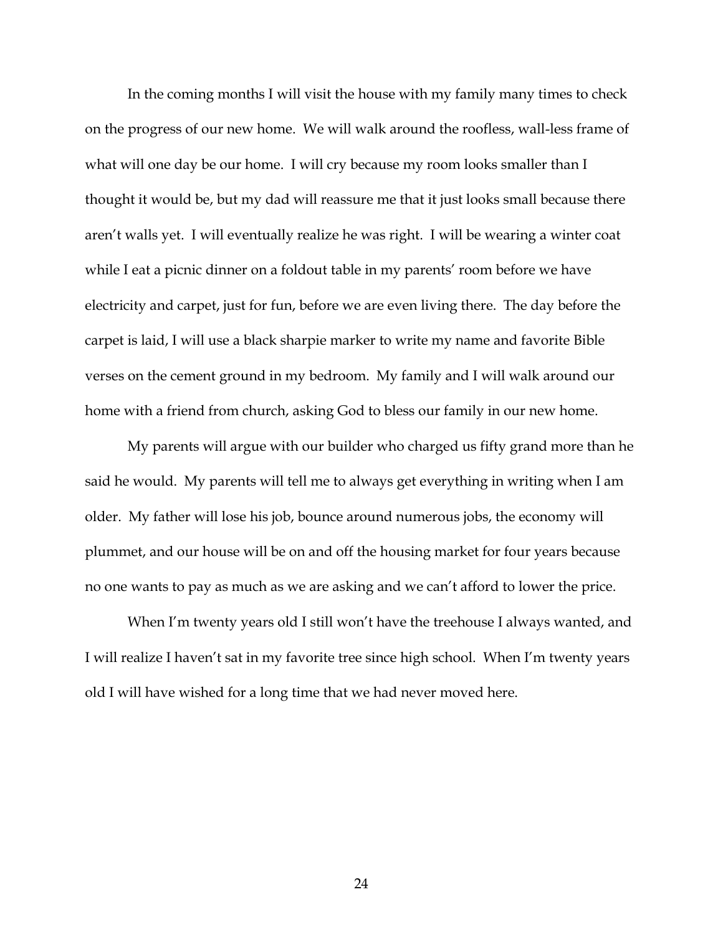In the coming months I will visit the house with my family many times to check on the progress of our new home. We will walk around the roofless, wall-less frame of what will one day be our home. I will cry because my room looks smaller than I thought it would be, but my dad will reassure me that it just looks small because there aren't walls yet. I will eventually realize he was right. I will be wearing a winter coat while I eat a picnic dinner on a foldout table in my parents' room before we have electricity and carpet, just for fun, before we are even living there. The day before the carpet is laid, I will use a black sharpie marker to write my name and favorite Bible verses on the cement ground in my bedroom. My family and I will walk around our home with a friend from church, asking God to bless our family in our new home.

My parents will argue with our builder who charged us fifty grand more than he said he would. My parents will tell me to always get everything in writing when I am older. My father will lose his job, bounce around numerous jobs, the economy will plummet, and our house will be on and off the housing market for four years because no one wants to pay as much as we are asking and we can't afford to lower the price.

When I'm twenty years old I still won't have the treehouse I always wanted, and I will realize I haven't sat in my favorite tree since high school. When I'm twenty years old I will have wished for a long time that we had never moved here.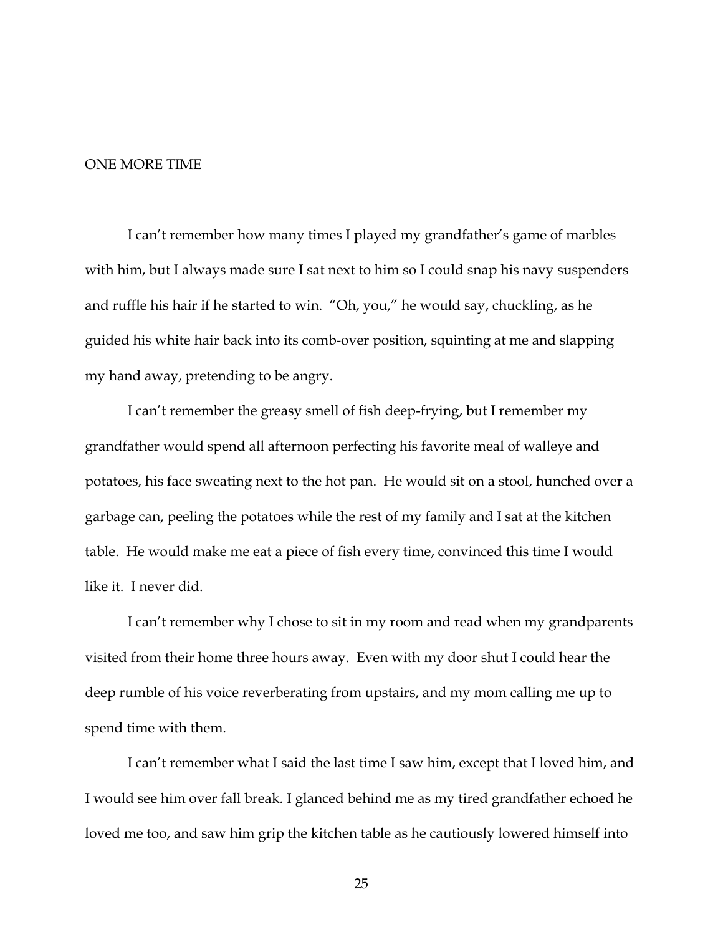## ONE MORE TIME

I can't remember how many times I played my grandfather's game of marbles with him, but I always made sure I sat next to him so I could snap his navy suspenders and ruffle his hair if he started to win. "Oh, you," he would say, chuckling, as he guided his white hair back into its comb-over position, squinting at me and slapping my hand away, pretending to be angry.

I can't remember the greasy smell of fish deep-frying, but I remember my grandfather would spend all afternoon perfecting his favorite meal of walleye and potatoes, his face sweating next to the hot pan. He would sit on a stool, hunched over a garbage can, peeling the potatoes while the rest of my family and I sat at the kitchen table. He would make me eat a piece of fish every time, convinced this time I would like it. I never did.

I can't remember why I chose to sit in my room and read when my grandparents visited from their home three hours away. Even with my door shut I could hear the deep rumble of his voice reverberating from upstairs, and my mom calling me up to spend time with them.

I can't remember what I said the last time I saw him, except that I loved him, and I would see him over fall break. I glanced behind me as my tired grandfather echoed he loved me too, and saw him grip the kitchen table as he cautiously lowered himself into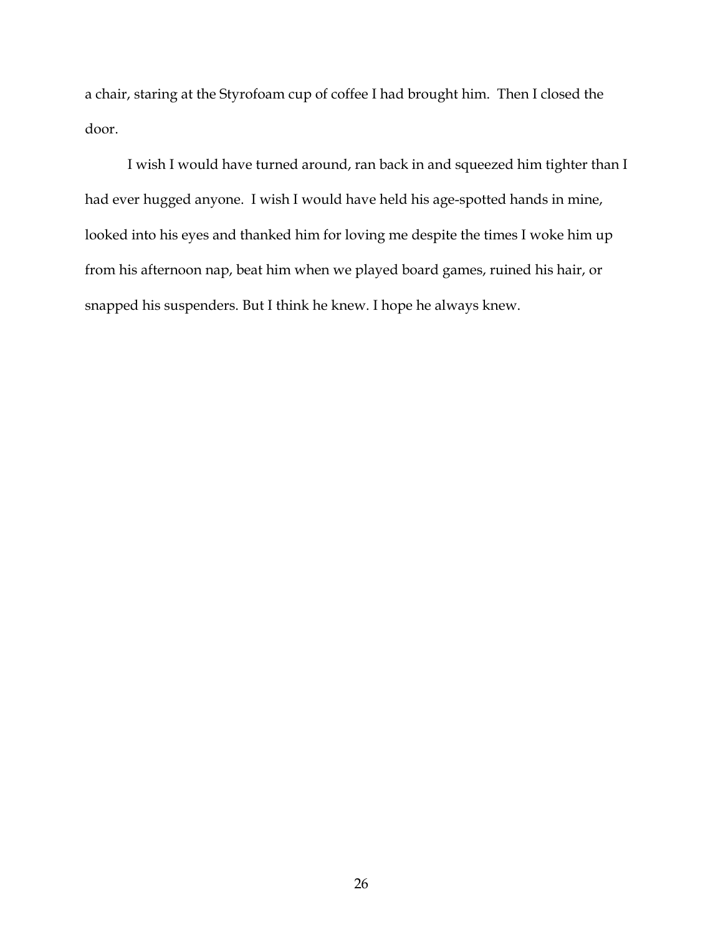a chair, staring at the Styrofoam cup of coffee I had brought him. Then I closed the door.

I wish I would have turned around, ran back in and squeezed him tighter than I had ever hugged anyone. I wish I would have held his age-spotted hands in mine, looked into his eyes and thanked him for loving me despite the times I woke him up from his afternoon nap, beat him when we played board games, ruined his hair, or snapped his suspenders. But I think he knew. I hope he always knew.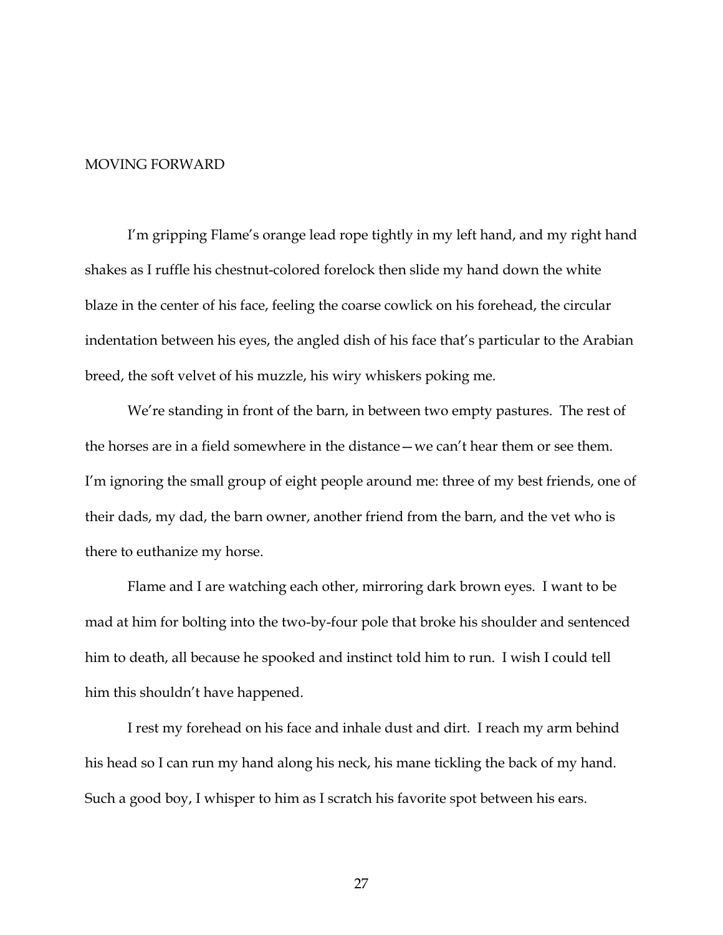#### MOVING FORWARD

I'm gripping Flame's orange lead rope tightly in my left hand, and my right hand shakes as I ruffle his chestnut-colored forelock then slide my hand down the white blaze in the center of his face, feeling the coarse cowlick on his forehead, the circular indentation between his eyes, the angled dish of his face that's particular to the Arabian breed, the soft velvet of his muzzle, his wiry whiskers poking me.

We're standing in front of the barn, in between two empty pastures. The rest of the horses are in a field somewhere in the distance—we can't hear them or see them. I'm ignoring the small group of eight people around me: three of my best friends, one of their dads, my dad, the barn owner, another friend from the barn, and the vet who is there to euthanize my horse.

Flame and I are watching each other, mirroring dark brown eyes. I want to be mad at him for bolting into the two-by-four pole that broke his shoulder and sentenced him to death, all because he spooked and instinct told him to run. I wish I could tell him this shouldn't have happened.

I rest my forehead on his face and inhale dust and dirt. I reach my arm behind his head so I can run my hand along his neck, his mane tickling the back of my hand. Such a good boy, I whisper to him as I scratch his favorite spot between his ears.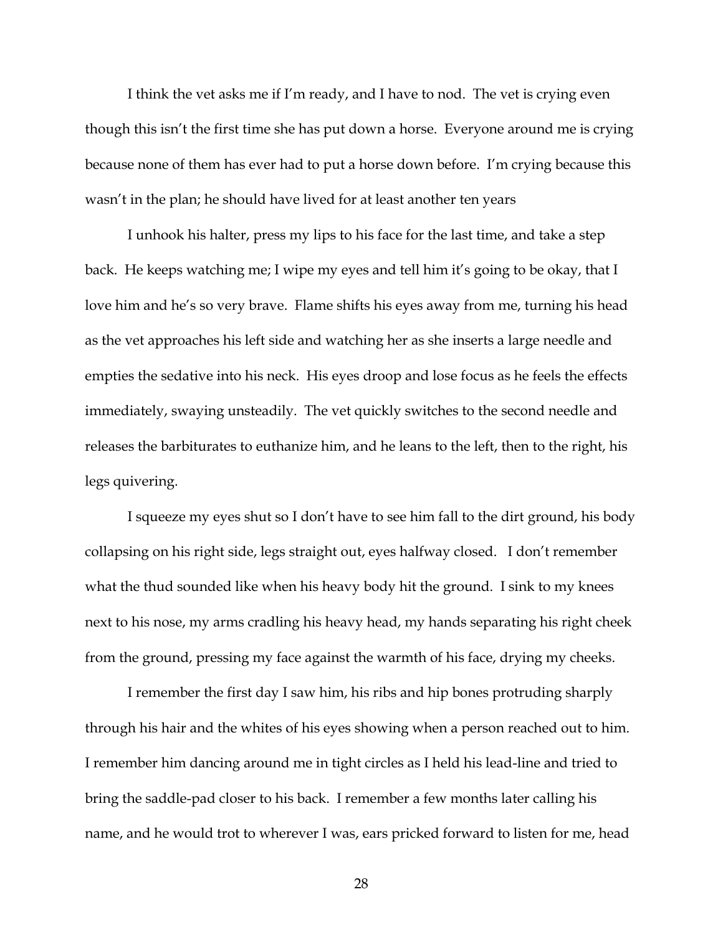I think the vet asks me if I'm ready, and I have to nod. The vet is crying even though this isn't the first time she has put down a horse. Everyone around me is crying because none of them has ever had to put a horse down before. I'm crying because this wasn't in the plan; he should have lived for at least another ten years

I unhook his halter, press my lips to his face for the last time, and take a step back. He keeps watching me; I wipe my eyes and tell him it's going to be okay, that I love him and he's so very brave. Flame shifts his eyes away from me, turning his head as the vet approaches his left side and watching her as she inserts a large needle and empties the sedative into his neck. His eyes droop and lose focus as he feels the effects immediately, swaying unsteadily. The vet quickly switches to the second needle and releases the barbiturates to euthanize him, and he leans to the left, then to the right, his legs quivering.

I squeeze my eyes shut so I don't have to see him fall to the dirt ground, his body collapsing on his right side, legs straight out, eyes halfway closed. I don't remember what the thud sounded like when his heavy body hit the ground. I sink to my knees next to his nose, my arms cradling his heavy head, my hands separating his right cheek from the ground, pressing my face against the warmth of his face, drying my cheeks.

I remember the first day I saw him, his ribs and hip bones protruding sharply through his hair and the whites of his eyes showing when a person reached out to him. I remember him dancing around me in tight circles as I held his lead-line and tried to bring the saddle-pad closer to his back. I remember a few months later calling his name, and he would trot to wherever I was, ears pricked forward to listen for me, head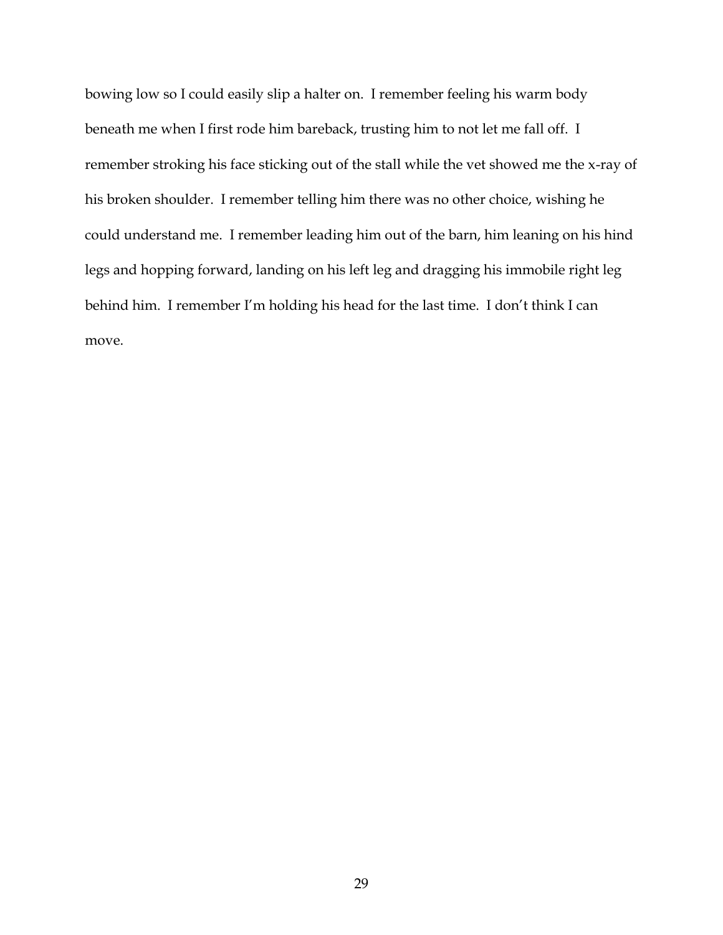bowing low so I could easily slip a halter on. I remember feeling his warm body beneath me when I first rode him bareback, trusting him to not let me fall off. I remember stroking his face sticking out of the stall while the vet showed me the x-ray of his broken shoulder. I remember telling him there was no other choice, wishing he could understand me. I remember leading him out of the barn, him leaning on his hind legs and hopping forward, landing on his left leg and dragging his immobile right leg behind him. I remember I'm holding his head for the last time. I don't think I can move.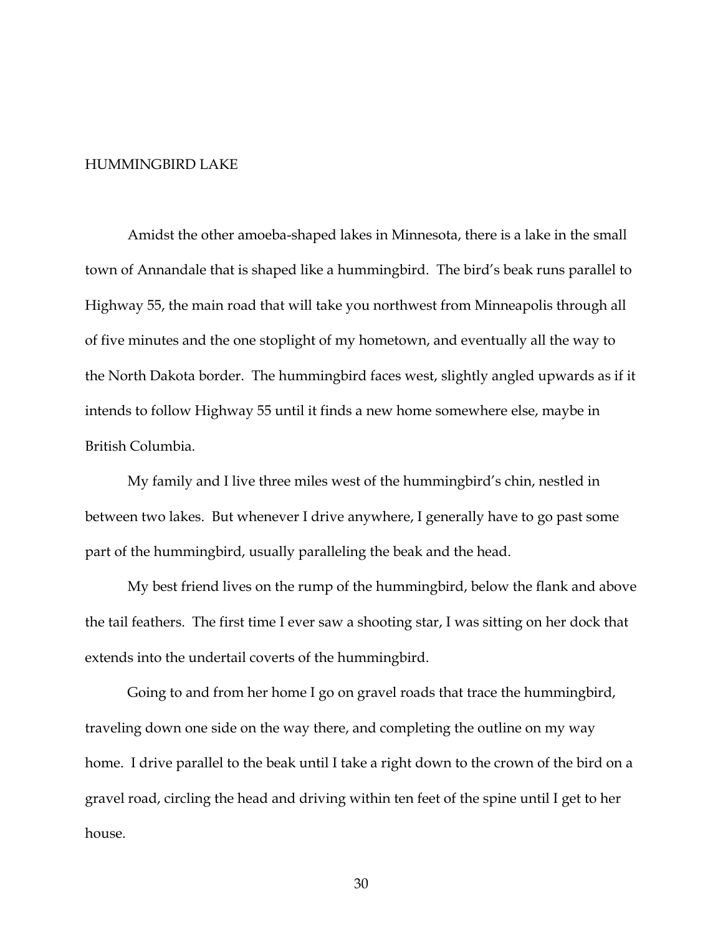## HUMMINGBIRD LAKE

Amidst the other amoeba-shaped lakes in Minnesota, there is a lake in the small town of Annandale that is shaped like a hummingbird. The bird's beak runs parallel to Highway 55, the main road that will take you northwest from Minneapolis through all of five minutes and the one stoplight of my hometown, and eventually all the way to the North Dakota border. The hummingbird faces west, slightly angled upwards as if it intends to follow Highway 55 until it finds a new home somewhere else, maybe in British Columbia.

My family and I live three miles west of the hummingbird's chin, nestled in between two lakes. But whenever I drive anywhere, I generally have to go past some part of the hummingbird, usually paralleling the beak and the head.

My best friend lives on the rump of the hummingbird, below the flank and above the tail feathers. The first time I ever saw a shooting star, I was sitting on her dock that extends into the undertail coverts of the hummingbird.

Going to and from her home I go on gravel roads that trace the hummingbird, traveling down one side on the way there, and completing the outline on my way home. I drive parallel to the beak until I take a right down to the crown of the bird on a gravel road, circling the head and driving within ten feet of the spine until I get to her house.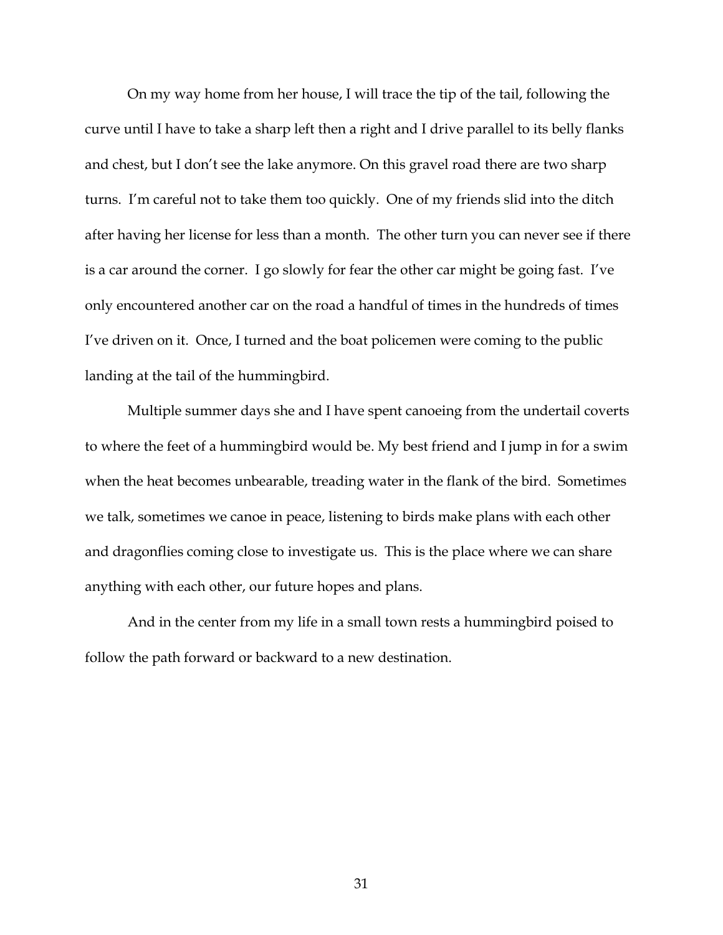On my way home from her house, I will trace the tip of the tail, following the curve until I have to take a sharp left then a right and I drive parallel to its belly flanks and chest, but I don't see the lake anymore. On this gravel road there are two sharp turns. I'm careful not to take them too quickly. One of my friends slid into the ditch after having her license for less than a month. The other turn you can never see if there is a car around the corner. I go slowly for fear the other car might be going fast. I've only encountered another car on the road a handful of times in the hundreds of times I've driven on it. Once, I turned and the boat policemen were coming to the public landing at the tail of the hummingbird.

Multiple summer days she and I have spent canoeing from the undertail coverts to where the feet of a hummingbird would be. My best friend and I jump in for a swim when the heat becomes unbearable, treading water in the flank of the bird. Sometimes we talk, sometimes we canoe in peace, listening to birds make plans with each other and dragonflies coming close to investigate us. This is the place where we can share anything with each other, our future hopes and plans.

And in the center from my life in a small town rests a hummingbird poised to follow the path forward or backward to a new destination.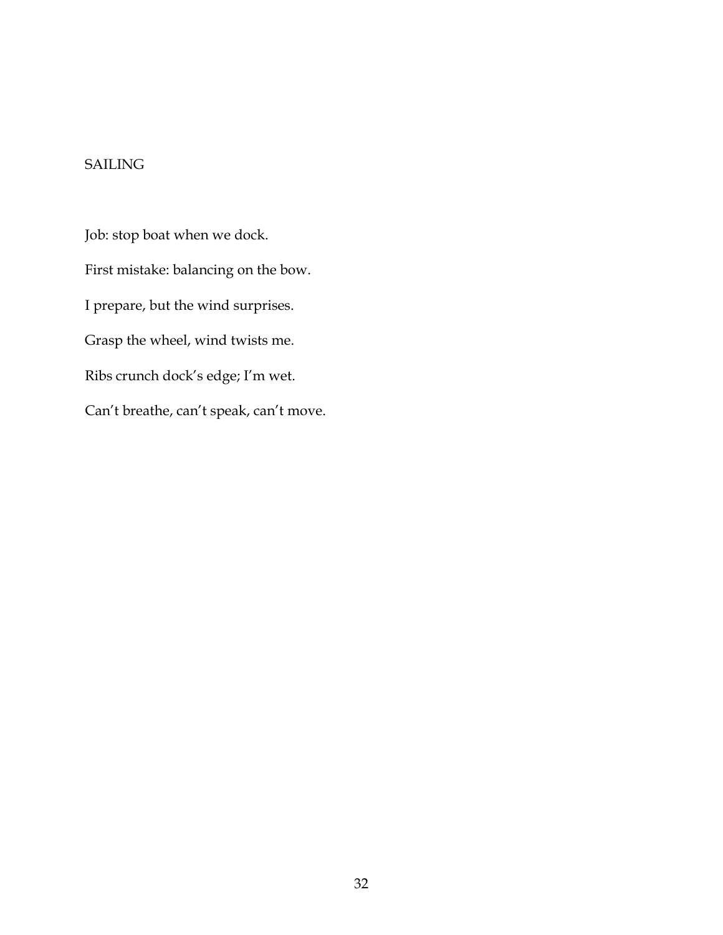# SAILING

Job: stop boat when we dock. First mistake: balancing on the bow. I prepare, but the wind surprises. Grasp the wheel, wind twists me. Ribs crunch dock's edge; I'm wet. Can't breathe, can't speak, can't move.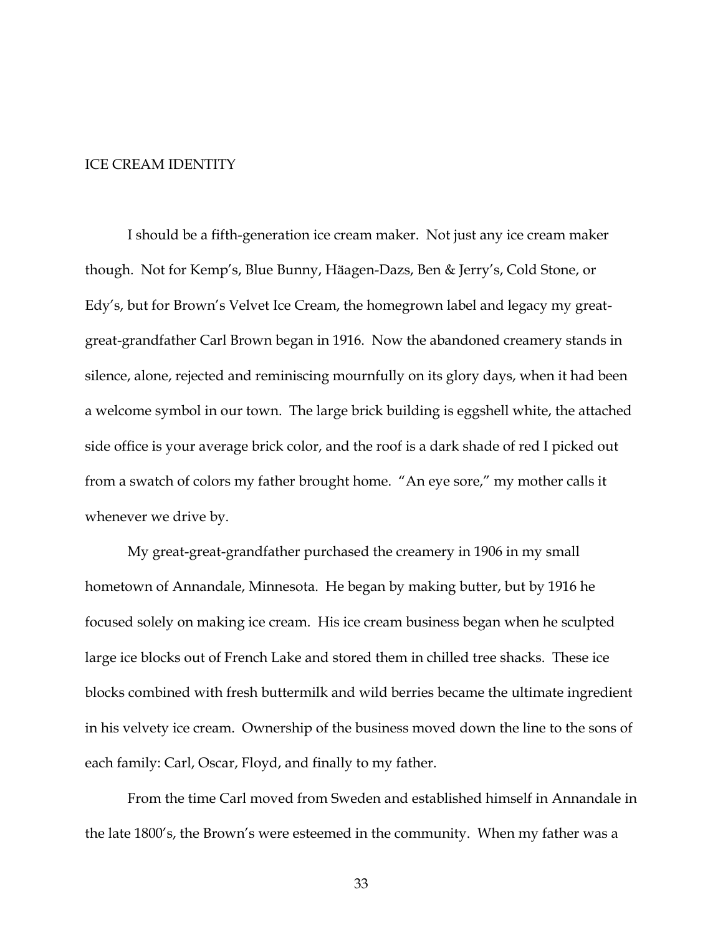## ICE CREAM IDENTITY

I should be a fifth-generation ice cream maker. Not just any ice cream maker though. Not for Kemp's, Blue Bunny, Häagen-Dazs, Ben & Jerry's, Cold Stone, or Edy's, but for Brown's Velvet Ice Cream, the homegrown label and legacy my greatgreat-grandfather Carl Brown began in 1916. Now the abandoned creamery stands in silence, alone, rejected and reminiscing mournfully on its glory days, when it had been a welcome symbol in our town. The large brick building is eggshell white, the attached side office is your average brick color, and the roof is a dark shade of red I picked out from a swatch of colors my father brought home. "An eye sore," my mother calls it whenever we drive by.

My great-great-grandfather purchased the creamery in 1906 in my small hometown of Annandale, Minnesota. He began by making butter, but by 1916 he focused solely on making ice cream. His ice cream business began when he sculpted large ice blocks out of French Lake and stored them in chilled tree shacks. These ice blocks combined with fresh buttermilk and wild berries became the ultimate ingredient in his velvety ice cream. Ownership of the business moved down the line to the sons of each family: Carl, Oscar, Floyd, and finally to my father.

From the time Carl moved from Sweden and established himself in Annandale in the late 1800's, the Brown's were esteemed in the community. When my father was a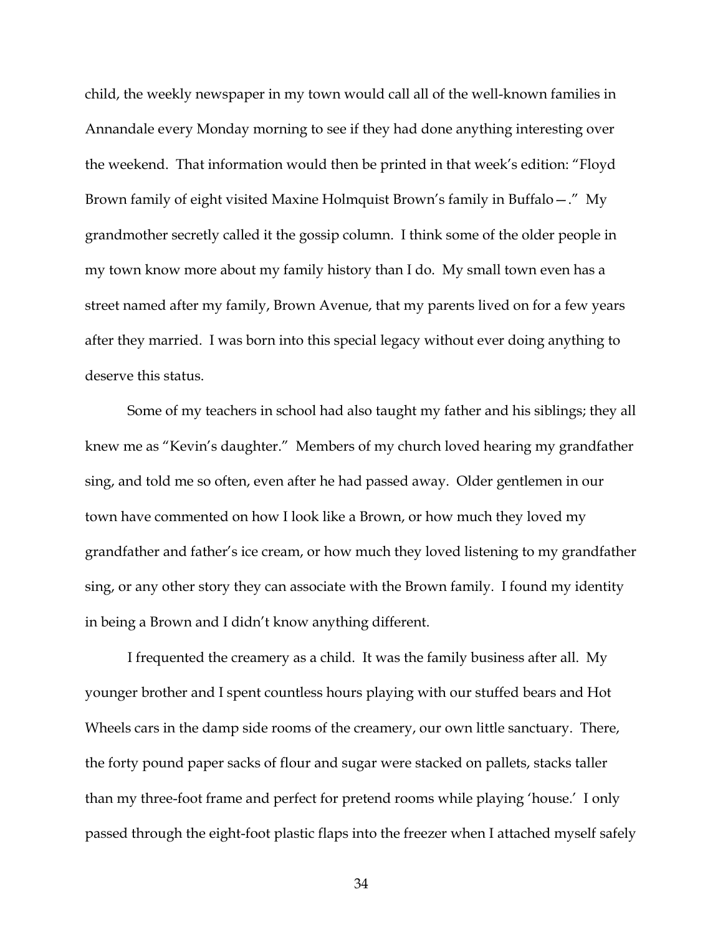child, the weekly newspaper in my town would call all of the well-known families in Annandale every Monday morning to see if they had done anything interesting over the weekend. That information would then be printed in that week's edition: "Floyd Brown family of eight visited Maxine Holmquist Brown's family in Buffalo—." My grandmother secretly called it the gossip column. I think some of the older people in my town know more about my family history than I do. My small town even has a street named after my family, Brown Avenue, that my parents lived on for a few years after they married. I was born into this special legacy without ever doing anything to deserve this status.

Some of my teachers in school had also taught my father and his siblings; they all knew me as "Kevin's daughter." Members of my church loved hearing my grandfather sing, and told me so often, even after he had passed away. Older gentlemen in our town have commented on how I look like a Brown, or how much they loved my grandfather and father's ice cream, or how much they loved listening to my grandfather sing, or any other story they can associate with the Brown family. I found my identity in being a Brown and I didn't know anything different.

I frequented the creamery as a child. It was the family business after all. My younger brother and I spent countless hours playing with our stuffed bears and Hot Wheels cars in the damp side rooms of the creamery, our own little sanctuary. There, the forty pound paper sacks of flour and sugar were stacked on pallets, stacks taller than my three-foot frame and perfect for pretend rooms while playing 'house.' I only passed through the eight-foot plastic flaps into the freezer when I attached myself safely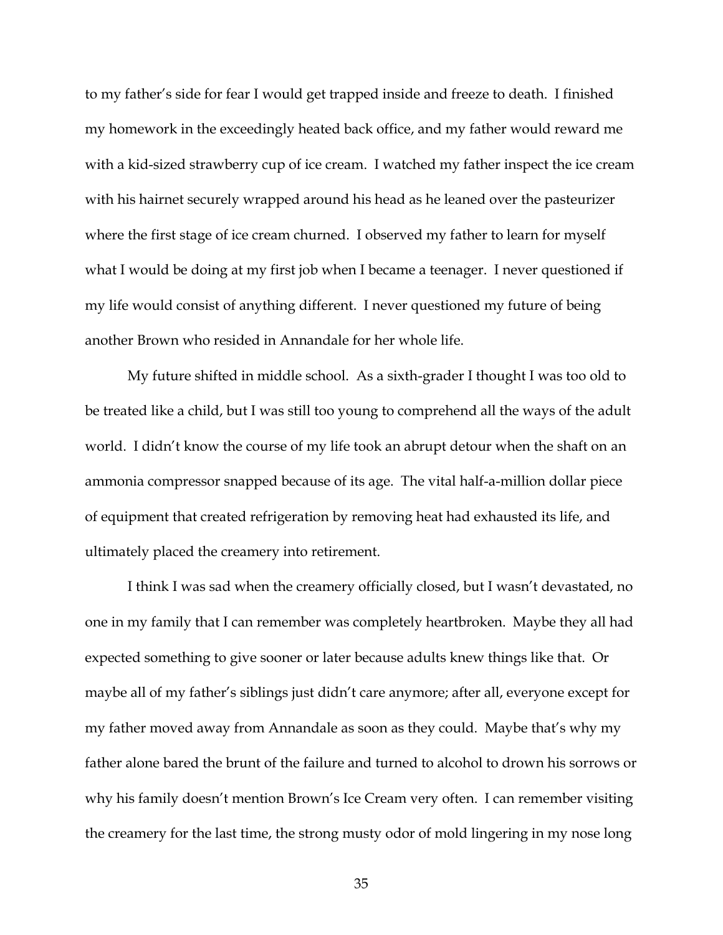to my father's side for fear I would get trapped inside and freeze to death. I finished my homework in the exceedingly heated back office, and my father would reward me with a kid-sized strawberry cup of ice cream. I watched my father inspect the ice cream with his hairnet securely wrapped around his head as he leaned over the pasteurizer where the first stage of ice cream churned. I observed my father to learn for myself what I would be doing at my first job when I became a teenager. I never questioned if my life would consist of anything different. I never questioned my future of being another Brown who resided in Annandale for her whole life.

My future shifted in middle school. As a sixth-grader I thought I was too old to be treated like a child, but I was still too young to comprehend all the ways of the adult world. I didn't know the course of my life took an abrupt detour when the shaft on an ammonia compressor snapped because of its age. The vital half-a-million dollar piece of equipment that created refrigeration by removing heat had exhausted its life, and ultimately placed the creamery into retirement.

I think I was sad when the creamery officially closed, but I wasn't devastated, no one in my family that I can remember was completely heartbroken. Maybe they all had expected something to give sooner or later because adults knew things like that. Or maybe all of my father's siblings just didn't care anymore; after all, everyone except for my father moved away from Annandale as soon as they could. Maybe that's why my father alone bared the brunt of the failure and turned to alcohol to drown his sorrows or why his family doesn't mention Brown's Ice Cream very often. I can remember visiting the creamery for the last time, the strong musty odor of mold lingering in my nose long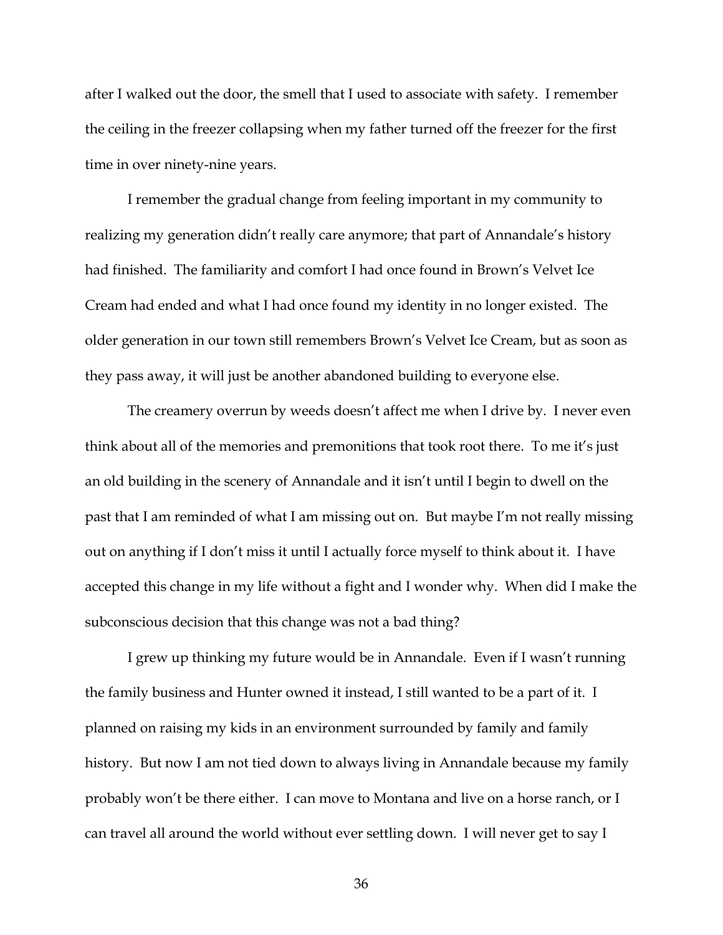after I walked out the door, the smell that I used to associate with safety. I remember the ceiling in the freezer collapsing when my father turned off the freezer for the first time in over ninety-nine years.

I remember the gradual change from feeling important in my community to realizing my generation didn't really care anymore; that part of Annandale's history had finished. The familiarity and comfort I had once found in Brown's Velvet Ice Cream had ended and what I had once found my identity in no longer existed. The older generation in our town still remembers Brown's Velvet Ice Cream, but as soon as they pass away, it will just be another abandoned building to everyone else.

The creamery overrun by weeds doesn't affect me when I drive by. I never even think about all of the memories and premonitions that took root there. To me it's just an old building in the scenery of Annandale and it isn't until I begin to dwell on the past that I am reminded of what I am missing out on. But maybe I'm not really missing out on anything if I don't miss it until I actually force myself to think about it. I have accepted this change in my life without a fight and I wonder why. When did I make the subconscious decision that this change was not a bad thing?

I grew up thinking my future would be in Annandale. Even if I wasn't running the family business and Hunter owned it instead, I still wanted to be a part of it. I planned on raising my kids in an environment surrounded by family and family history. But now I am not tied down to always living in Annandale because my family probably won't be there either. I can move to Montana and live on a horse ranch, or I can travel all around the world without ever settling down. I will never get to say I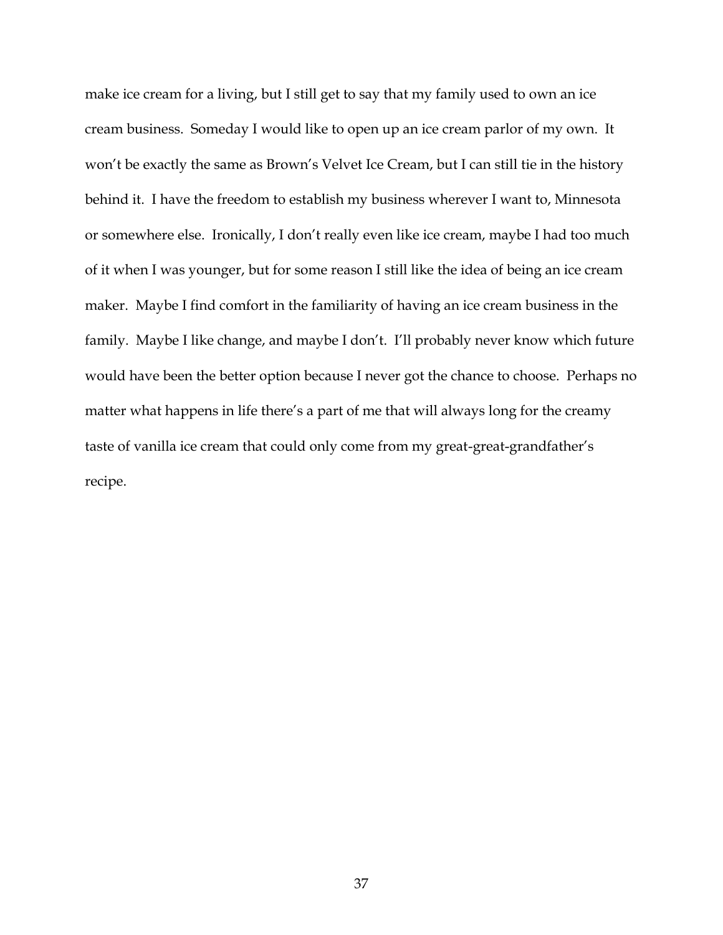make ice cream for a living, but I still get to say that my family used to own an ice cream business. Someday I would like to open up an ice cream parlor of my own. It won't be exactly the same as Brown's Velvet Ice Cream, but I can still tie in the history behind it. I have the freedom to establish my business wherever I want to, Minnesota or somewhere else. Ironically, I don't really even like ice cream, maybe I had too much of it when I was younger, but for some reason I still like the idea of being an ice cream maker. Maybe I find comfort in the familiarity of having an ice cream business in the family. Maybe I like change, and maybe I don't. I'll probably never know which future would have been the better option because I never got the chance to choose. Perhaps no matter what happens in life there's a part of me that will always long for the creamy taste of vanilla ice cream that could only come from my great-great-grandfather's recipe.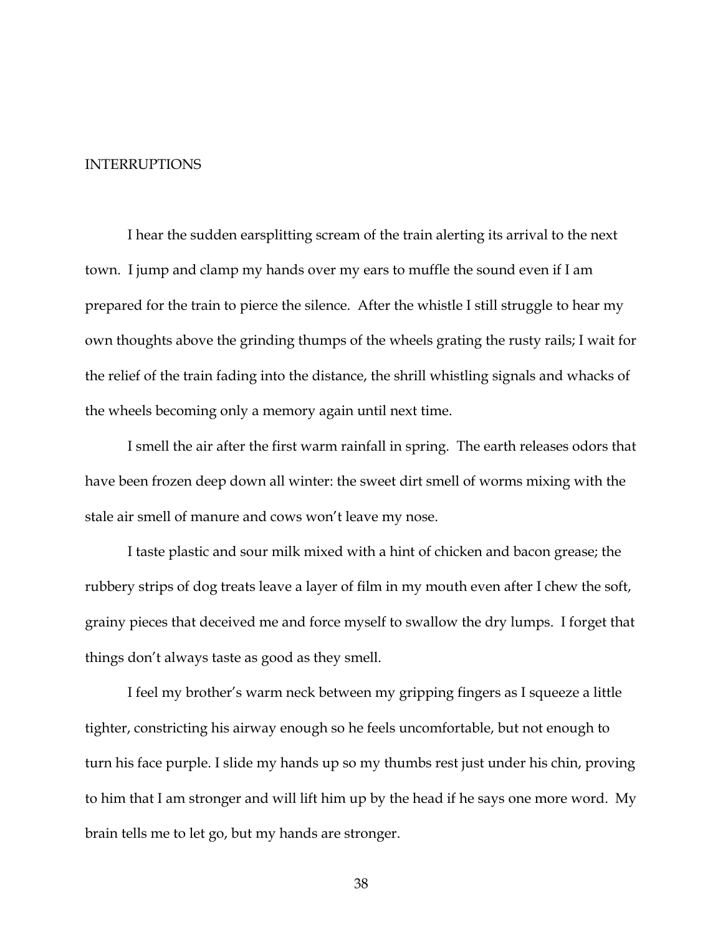## INTERRUPTIONS

I hear the sudden earsplitting scream of the train alerting its arrival to the next town. I jump and clamp my hands over my ears to muffle the sound even if I am prepared for the train to pierce the silence. After the whistle I still struggle to hear my own thoughts above the grinding thumps of the wheels grating the rusty rails; I wait for the relief of the train fading into the distance, the shrill whistling signals and whacks of the wheels becoming only a memory again until next time.

I smell the air after the first warm rainfall in spring. The earth releases odors that have been frozen deep down all winter: the sweet dirt smell of worms mixing with the stale air smell of manure and cows won't leave my nose.

I taste plastic and sour milk mixed with a hint of chicken and bacon grease; the rubbery strips of dog treats leave a layer of film in my mouth even after I chew the soft, grainy pieces that deceived me and force myself to swallow the dry lumps. I forget that things don't always taste as good as they smell.

I feel my brother's warm neck between my gripping fingers as I squeeze a little tighter, constricting his airway enough so he feels uncomfortable, but not enough to turn his face purple. I slide my hands up so my thumbs rest just under his chin, proving to him that I am stronger and will lift him up by the head if he says one more word. My brain tells me to let go, but my hands are stronger.